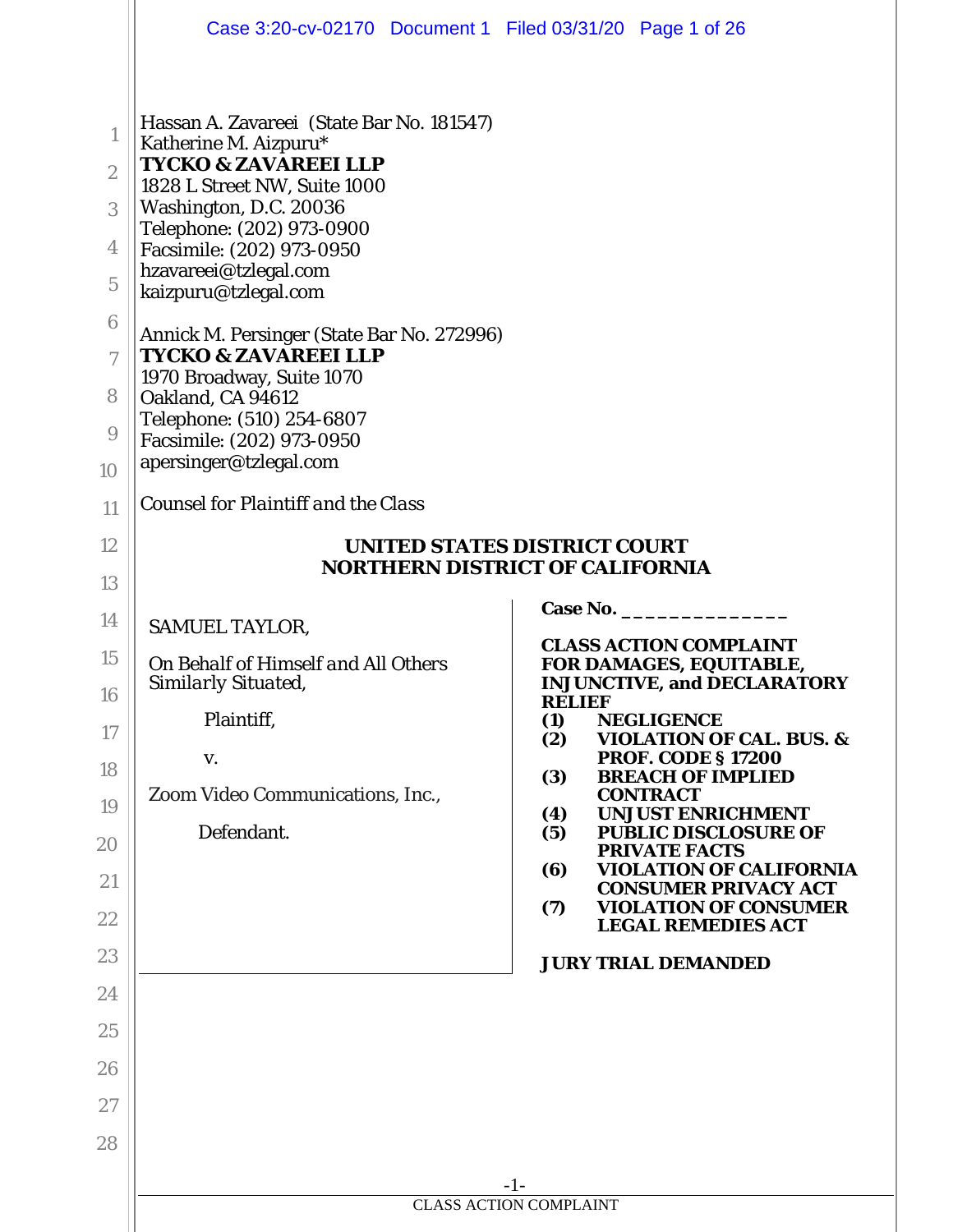|                                                                                                      | Case 3:20-cv-02170 Document 1 Filed 03/31/20 Page 1 of 26                                                                                                                                                                                                                                                                                                                                                                                                                                                                                       |                                                                         |  |  |  |  |
|------------------------------------------------------------------------------------------------------|-------------------------------------------------------------------------------------------------------------------------------------------------------------------------------------------------------------------------------------------------------------------------------------------------------------------------------------------------------------------------------------------------------------------------------------------------------------------------------------------------------------------------------------------------|-------------------------------------------------------------------------|--|--|--|--|
| 1<br>$\boldsymbol{2}$<br>3<br>4<br>$\overline{5}$<br>$6\phantom{1}6$<br>$\tau$<br>8<br>9<br>10<br>11 | Hassan A. Zavareei (State Bar No. 181547)<br>Katherine M. Aizpuru*<br><b>TYCKO &amp; ZAVAREEI LLP</b><br>1828 L Street NW, Suite 1000<br>Washington, D.C. 20036<br>Telephone: (202) 973-0900<br>Facsimile: (202) 973-0950<br>hzavareei@tzlegal.com<br>kaizpuru@tzlegal.com<br>Annick M. Persinger (State Bar No. 272996)<br><b>TYCKO &amp; ZAVAREEI LLP</b><br>1970 Broadway, Suite 1070<br>Oakland, CA 94612<br>Telephone: (510) 254-6807<br>Facsimile: (202) 973-0950<br>apersinger@tzlegal.com<br><b>Counsel for Plaintiff and the Class</b> |                                                                         |  |  |  |  |
| 12                                                                                                   | <b>UNITED STATES DISTRICT COURT</b><br><b>NORTHERN DISTRICT OF CALIFORNIA</b>                                                                                                                                                                                                                                                                                                                                                                                                                                                                   |                                                                         |  |  |  |  |
| 13                                                                                                   |                                                                                                                                                                                                                                                                                                                                                                                                                                                                                                                                                 | <b>Case No.</b>                                                         |  |  |  |  |
| 14                                                                                                   | <b>SAMUEL TAYLOR,</b>                                                                                                                                                                                                                                                                                                                                                                                                                                                                                                                           | <b>CLASS ACTION COMPLAINT</b>                                           |  |  |  |  |
| 15<br>16                                                                                             | On Behalf of Himself and All Others<br>Similarly Situated,                                                                                                                                                                                                                                                                                                                                                                                                                                                                                      | FOR DAMAGES, EQUITABLE,<br><b>INJUNCTIVE, and DECLARATORY</b>           |  |  |  |  |
| 17                                                                                                   | Plaintiff,                                                                                                                                                                                                                                                                                                                                                                                                                                                                                                                                      | <b>RELIEF</b><br>(1)<br><b>NEGLIGENCE</b>                               |  |  |  |  |
| 18                                                                                                   | V.                                                                                                                                                                                                                                                                                                                                                                                                                                                                                                                                              | <b>VIOLATION OF CAL. BUS. &amp;</b><br>(2)<br><b>PROF. CODE § 17200</b> |  |  |  |  |
|                                                                                                      | Zoom Video Communications, Inc.,                                                                                                                                                                                                                                                                                                                                                                                                                                                                                                                | <b>BREACH OF IMPLIED</b><br>(3)<br><b>CONTRACT</b>                      |  |  |  |  |
| 19<br>20                                                                                             | Defendant.                                                                                                                                                                                                                                                                                                                                                                                                                                                                                                                                      | <b>UNJUST ENRICHMENT</b><br>(4)<br><b>PUBLIC DISCLOSURE OF</b><br>(5)   |  |  |  |  |
| 21                                                                                                   |                                                                                                                                                                                                                                                                                                                                                                                                                                                                                                                                                 | <b>PRIVATE FACTS</b><br><b>VIOLATION OF CALIFORNIA</b><br>(6)           |  |  |  |  |
| 22                                                                                                   |                                                                                                                                                                                                                                                                                                                                                                                                                                                                                                                                                 | <b>CONSUMER PRIVACY ACT</b><br><b>VIOLATION OF CONSUMER</b><br>(7)      |  |  |  |  |
| 23                                                                                                   |                                                                                                                                                                                                                                                                                                                                                                                                                                                                                                                                                 | <b>LEGAL REMEDIES ACT</b><br><b>JURY TRIAL DEMANDED</b>                 |  |  |  |  |
| 24                                                                                                   |                                                                                                                                                                                                                                                                                                                                                                                                                                                                                                                                                 |                                                                         |  |  |  |  |
| 25                                                                                                   |                                                                                                                                                                                                                                                                                                                                                                                                                                                                                                                                                 |                                                                         |  |  |  |  |
| 26                                                                                                   |                                                                                                                                                                                                                                                                                                                                                                                                                                                                                                                                                 |                                                                         |  |  |  |  |
| 27                                                                                                   |                                                                                                                                                                                                                                                                                                                                                                                                                                                                                                                                                 |                                                                         |  |  |  |  |
| 28                                                                                                   |                                                                                                                                                                                                                                                                                                                                                                                                                                                                                                                                                 |                                                                         |  |  |  |  |
|                                                                                                      |                                                                                                                                                                                                                                                                                                                                                                                                                                                                                                                                                 | $-1-$                                                                   |  |  |  |  |
|                                                                                                      |                                                                                                                                                                                                                                                                                                                                                                                                                                                                                                                                                 | <b>CLASS ACTION COMPLAINT</b>                                           |  |  |  |  |
|                                                                                                      |                                                                                                                                                                                                                                                                                                                                                                                                                                                                                                                                                 |                                                                         |  |  |  |  |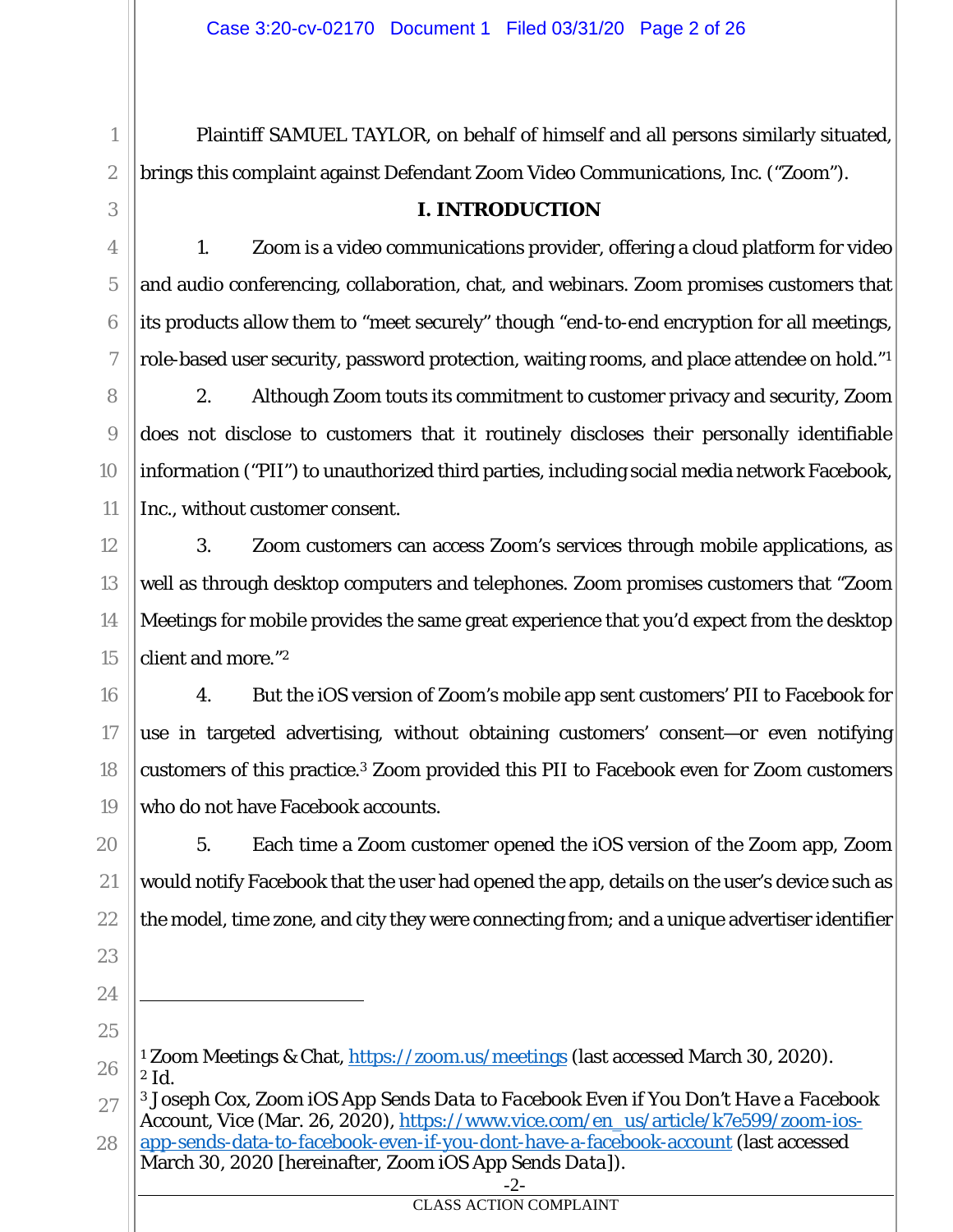Plaintiff SAMUEL TAYLOR, on behalf of himself and all persons similarly situated, brings this complaint against Defendant Zoom Video Communications, Inc. ("Zoom").

#### **I. INTRODUCTION**

1. Zoom is a video communications provider, offering a cloud platform for video and audio conferencing, collaboration, chat, and webinars. Zoom promises customers that its products allow them to "meet securely" though "end-to-end encryption for all meetings, role-based user security, password protection, waiting rooms, and place attendee on hold."1

2. Although Zoom touts its commitment to customer privacy and security, Zoom does not disclose to customers that it routinely discloses their personally identifiable information ("PII") to unauthorized third parties, including social media network Facebook, Inc., without customer consent.

3. Zoom customers can access Zoom's services through mobile applications, as well as through desktop computers and telephones. Zoom promises customers that "Zoom Meetings for mobile provides the same great experience that you'd expect from the desktop client and more."2

4. But the iOS version of Zoom's mobile app sent customers' PII to Facebook for use in targeted advertising, without obtaining customers' consent—or even notifying customers of this practice.3 Zoom provided this PII to Facebook even for Zoom customers who do not have Facebook accounts.

5. Each time a Zoom customer opened the iOS version of the Zoom app, Zoom would notify Facebook that the user had opened the app, details on the user's device such as the model, time zone, and city they were connecting from; and a unique advertiser identifier

1

2

3

4

5

6

7

8

9

10

11

12

13

14

15

16

17

18

19

20

21

22

23

CLASS ACTION COMPLAINT

<sup>24</sup> 25

<sup>26</sup> <sup>1</sup> Zoom Meetings & Chat, https://zoom.us/meetings (last accessed March 30, 2020). <sup>2</sup> *Id.* 

<sup>27</sup> 28 3 Joseph Cox, *Zoom iOS App Sends Data to Facebook Even if You Don't Have a Facebook Account*, Vice (Mar. 26, 2020), https://www.vice.com/en\_us/article/k7e599/zoom-iosapp-sends-data-to-facebook-even-if-you-dont-have-a-facebook-account (last accessed March 30, 2020 [hereinafter, *Zoom iOS App Sends Data*]).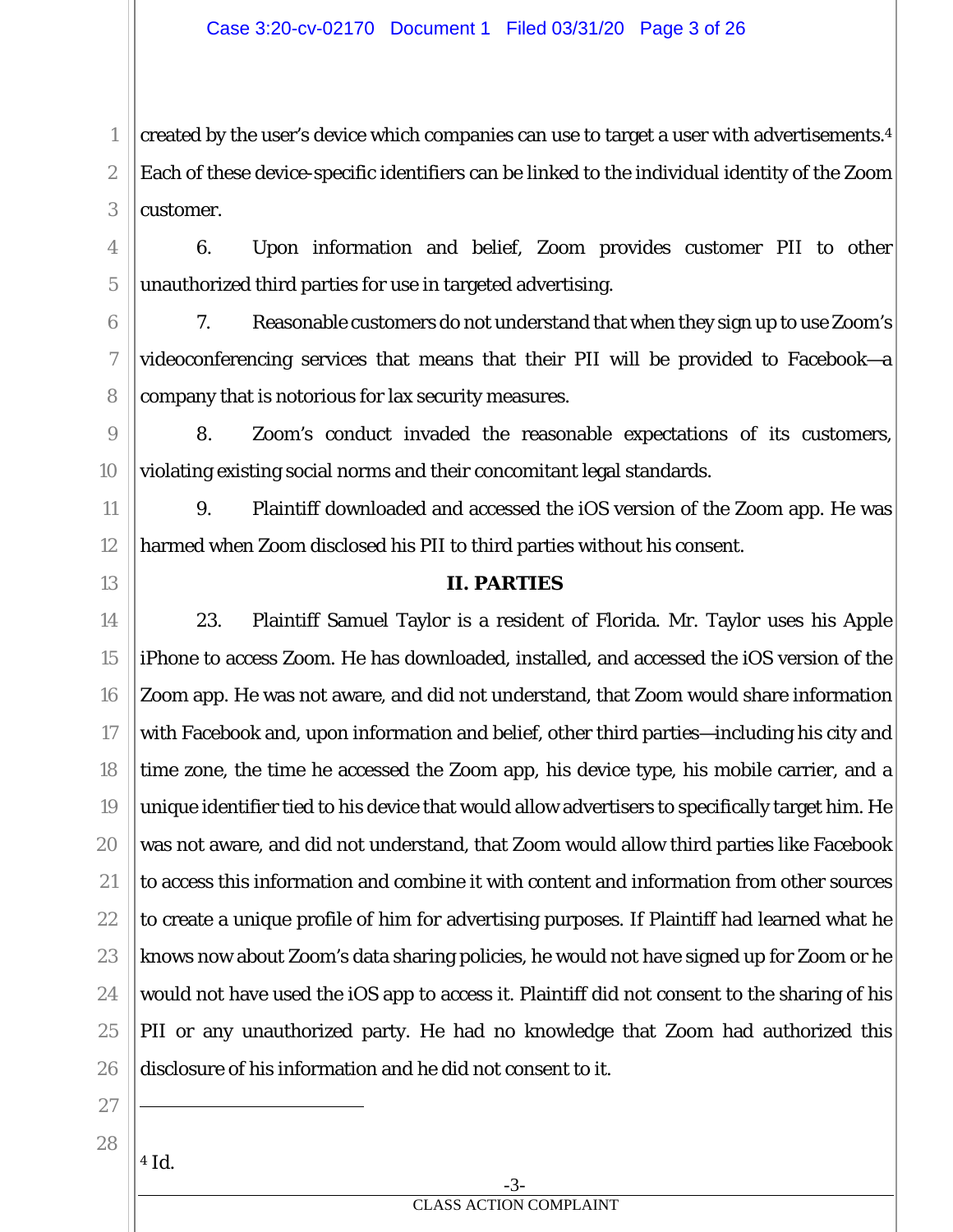created by the user's device which companies can use to target a user with advertisements.4 Each of these device-specific identifiers can be linked to the individual identity of the Zoom customer.

6. Upon information and belief, Zoom provides customer PII to other unauthorized third parties for use in targeted advertising.

7. Reasonable customers do not understand that when they sign up to use Zoom's videoconferencing services that means that their PII will be provided to Facebook—a company that is notorious for lax security measures.

8. Zoom's conduct invaded the reasonable expectations of its customers, violating existing social norms and their concomitant legal standards.

9. Plaintiff downloaded and accessed the iOS version of the Zoom app. He was harmed when Zoom disclosed his PII to third parties without his consent.

## **II. PARTIES**

18 20 21 22 23 25 26 23. Plaintiff Samuel Taylor is a resident of Florida. Mr. Taylor uses his Apple iPhone to access Zoom. He has downloaded, installed, and accessed the iOS version of the Zoom app. He was not aware, and did not understand, that Zoom would share information with Facebook and, upon information and belief, other third parties—including his city and time zone, the time he accessed the Zoom app, his device type, his mobile carrier, and a unique identifier tied to his device that would allow advertisers to specifically target him. He was not aware, and did not understand, that Zoom would allow third parties like Facebook to access this information and combine it with content and information from other sources to create a unique profile of him for advertising purposes. If Plaintiff had learned what he knows now about Zoom's data sharing policies, he would not have signed up for Zoom or he would not have used the iOS app to access it. Plaintiff did not consent to the sharing of his PII or any unauthorized party. He had no knowledge that Zoom had authorized this disclosure of his information and he did not consent to it.

27 28

24

1

2

3

4

5

6

7

8

9

10

11

12

13

14

15

16

17

19

<sup>4</sup> *Id.*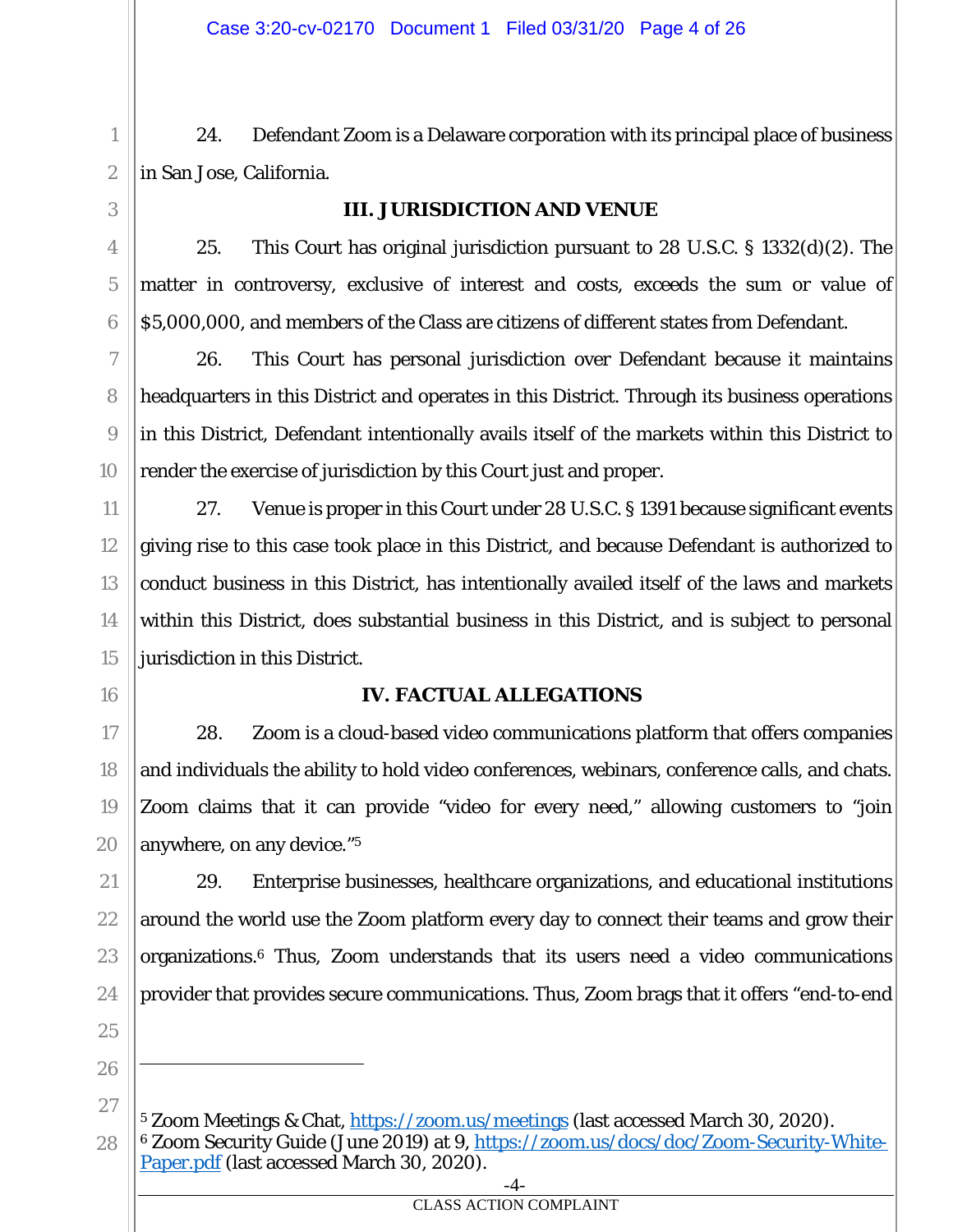24. Defendant Zoom is a Delaware corporation with its principal place of business in San Jose, California.

## **III. JURISDICTION AND VENUE**

25. This Court has original jurisdiction pursuant to 28 U.S.C. § 1332(d)(2). The matter in controversy, exclusive of interest and costs, exceeds the sum or value of \$5,000,000, and members of the Class are citizens of different states from Defendant.

26. This Court has personal jurisdiction over Defendant because it maintains headquarters in this District and operates in this District. Through its business operations in this District, Defendant intentionally avails itself of the markets within this District to render the exercise of jurisdiction by this Court just and proper.

27. Venue is proper in this Court under 28 U.S.C. § 1391 because significant events giving rise to this case took place in this District, and because Defendant is authorized to conduct business in this District, has intentionally availed itself of the laws and markets within this District, does substantial business in this District, and is subject to personal jurisdiction in this District.

## **IV. FACTUAL ALLEGATIONS**

28. Zoom is a cloud-based video communications platform that offers companies and individuals the ability to hold video conferences, webinars, conference calls, and chats. Zoom claims that it can provide "video for every need," allowing customers to "join anywhere, on any device."5

29. Enterprise businesses, healthcare organizations, and educational institutions around the world use the Zoom platform every day to connect their teams and grow their organizations.6 Thus, Zoom understands that its users need a video communications provider that provides secure communications. Thus, Zoom brags that it offers "end-to-end

1

2

<sup>-4-</sup> <sup>5</sup> Zoom Meetings & Chat, https://zoom.us/meetings (last accessed March 30, 2020). 6 Zoom Security Guide (June 2019) at 9, https://zoom.us/docs/doc/Zoom-Security-White-Paper.pdf (last accessed March 30, 2020).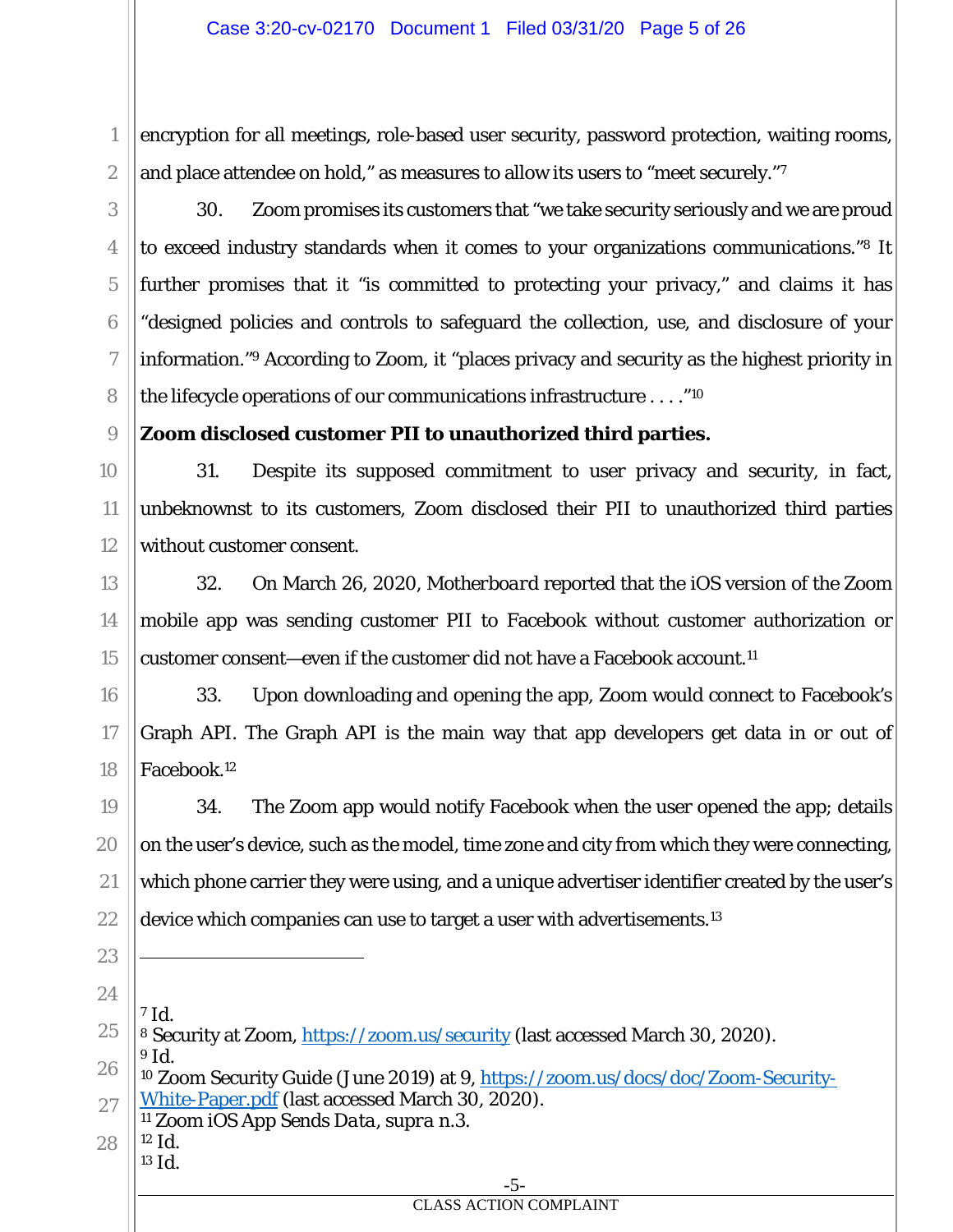encryption for all meetings, role-based user security, password protection, waiting rooms, and place attendee on hold," as measures to allow its users to "meet securely."7

30. Zoom promises its customers that "we take security seriously and we are proud to exceed industry standards when it comes to your organizations communications."8 It further promises that it "is committed to protecting your privacy," and claims it has "designed policies and controls to safeguard the collection, use, and disclosure of your information."9 According to Zoom, it "places privacy and security as the highest priority in the lifecycle operations of our communications infrastructure . . . ."10

**Zoom disclosed customer PII to unauthorized third parties.** 

31. Despite its supposed commitment to user privacy and security, in fact, unbeknownst to its customers, Zoom disclosed their PII to unauthorized third parties without customer consent.

32. On March 26, 2020, *Motherboard* reported that the iOS version of the Zoom mobile app was sending customer PII to Facebook without customer authorization or customer consent—even if the customer did not have a Facebook account.11

33. Upon downloading and opening the app, Zoom would connect to Facebook's Graph API. The Graph API is the main way that app developers get data in or out of Facebook.12

19 20 21 22 34. The Zoom app would notify Facebook when the user opened the app; details on the user's device, such as the model, time zone and city from which they were connecting, which phone carrier they were using, and a unique advertiser identifier created by the user's device which companies can use to target a user with advertisements.13

24

23

1

2

3

4

5

6

7

8

9

10

11

12

13

14

15

16

17

18

<sup>7</sup> *Id.* 

-5- CLASS ACTION COMPLAINT

<sup>25</sup> 8 Security at Zoom, https://zoom.us/security (last accessed March 30, 2020). <sup>9</sup> *Id.*

<sup>26</sup> 27 10 Zoom Security Guide (June 2019) at 9, https://zoom.us/docs/doc/Zoom-Security-White-Paper.pdf (last accessed March 30, 2020).

<sup>11</sup> *Zoom iOS App Sends Data*, *supra* n.3.  $12 \text{ Id.}$ 

<sup>28</sup> <sup>13</sup> *Id.*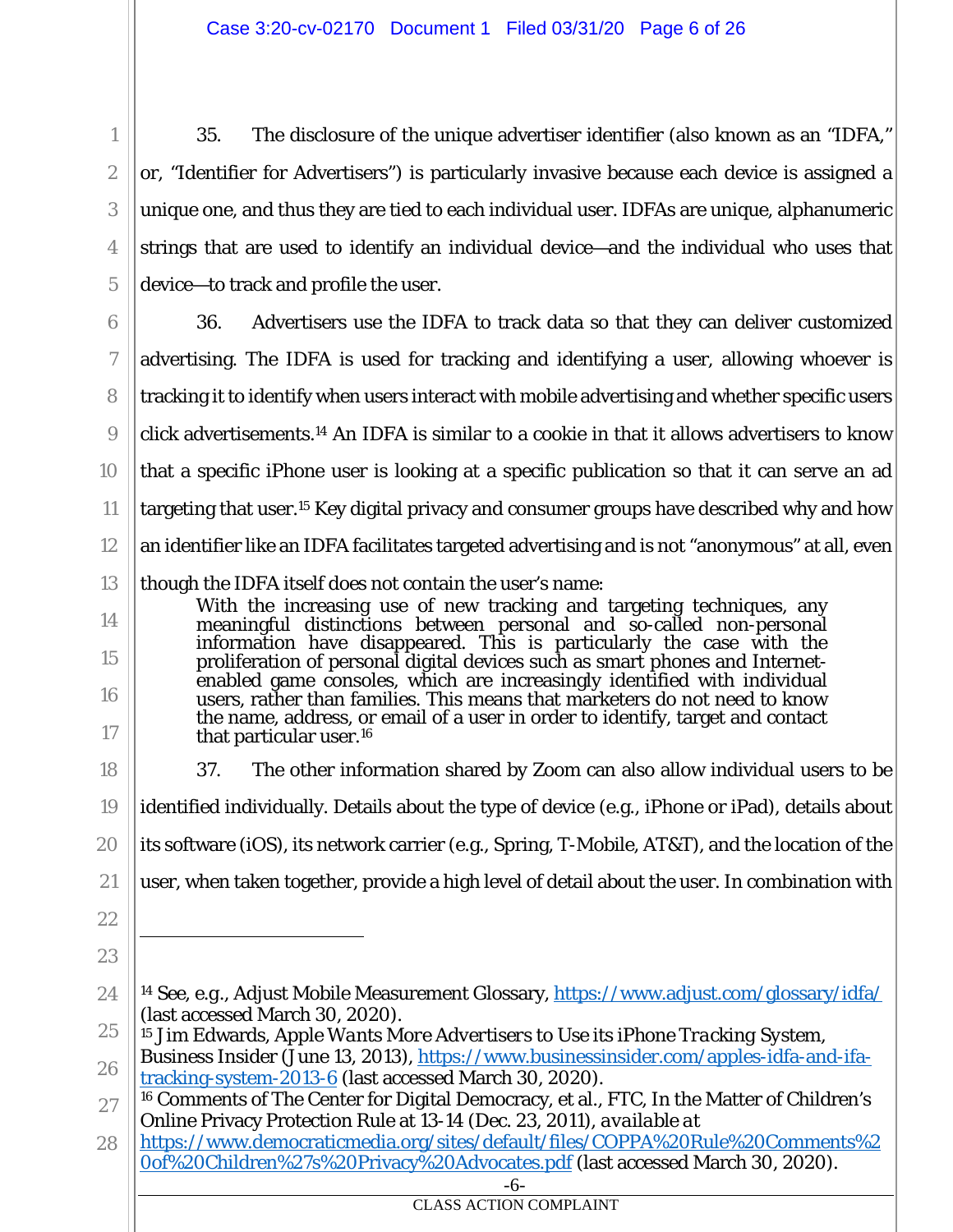35. The disclosure of the unique advertiser identifier (also known as an "IDFA," or, "Identifier for Advertisers") is particularly invasive because each device is assigned a unique one, and thus they are tied to each individual user. IDFAs are unique, alphanumeric strings that are used to identify an individual device—and the individual who uses that device—to track and profile the user.

6 7 8 9 10 11 12 13 14 36. Advertisers use the IDFA to track data so that they can deliver customized advertising. The IDFA is used for tracking and identifying a user, allowing whoever is tracking it to identify when users interact with mobile advertising and whether specific users click advertisements.14 An IDFA is similar to a cookie in that it allows advertisers to know that a specific iPhone user is looking at a specific publication so that it can serve an ad targeting that user.15 Key digital privacy and consumer groups have described why and how an identifier like an IDFA facilitates targeted advertising and is not "anonymous" at all, even though the IDFA itself does not contain the user's name: With the increasing use of new tracking and targeting techniques, any

meaningful distinctions between personal and so-called non-personal information have disappeared. This is particularly the case with the proliferation of personal digital devices such as smart phones and Internetenabled game consoles, which are increasingly identified with individual users, rather than families. This means that marketers do not need to know the name, address, or email of a user in order to identify, target and contact that particular user.16

18 19 20 37. The other information shared by Zoom can also allow individual users to be identified individually. Details about the type of device (e.g., iPhone or iPad), details about its software (iOS), its network carrier (e.g., Spring, T-Mobile, AT&T), and the location of the

- 21 user, when taken together, provide a high level of detail about the user. In combination with
- 22

15

16

17

1

2

3

4

5

- 23
- 24 <sup>14</sup> *See, e.g.*, Adjust Mobile Measurement Glossary, https://www.adjust.com/glossary/idfa/ (last accessed March 30, 2020).
- 25 15 Jim Edwards, *Apple Wants More Advertisers to Use its iPhone Tracking System*,
- 26 Business Insider (June 13, 2013), https://www.businessinsider.com/apples-idfa-and-ifatracking-system-2013-6 (last accessed March 30, 2020).

28 https://www.democraticmedia.org/sites/default/files/COPPA%20Rule%20Comments%2 0of%20Children%27s%20Privacy%20Advocates.pdf (last accessed March 30, 2020).

<sup>27</sup> 16 Comments of The Center for Digital Democracy, et al., FTC, In the Matter of Children's Online Privacy Protection Rule at 13-14 (Dec. 23, 2011), *available at*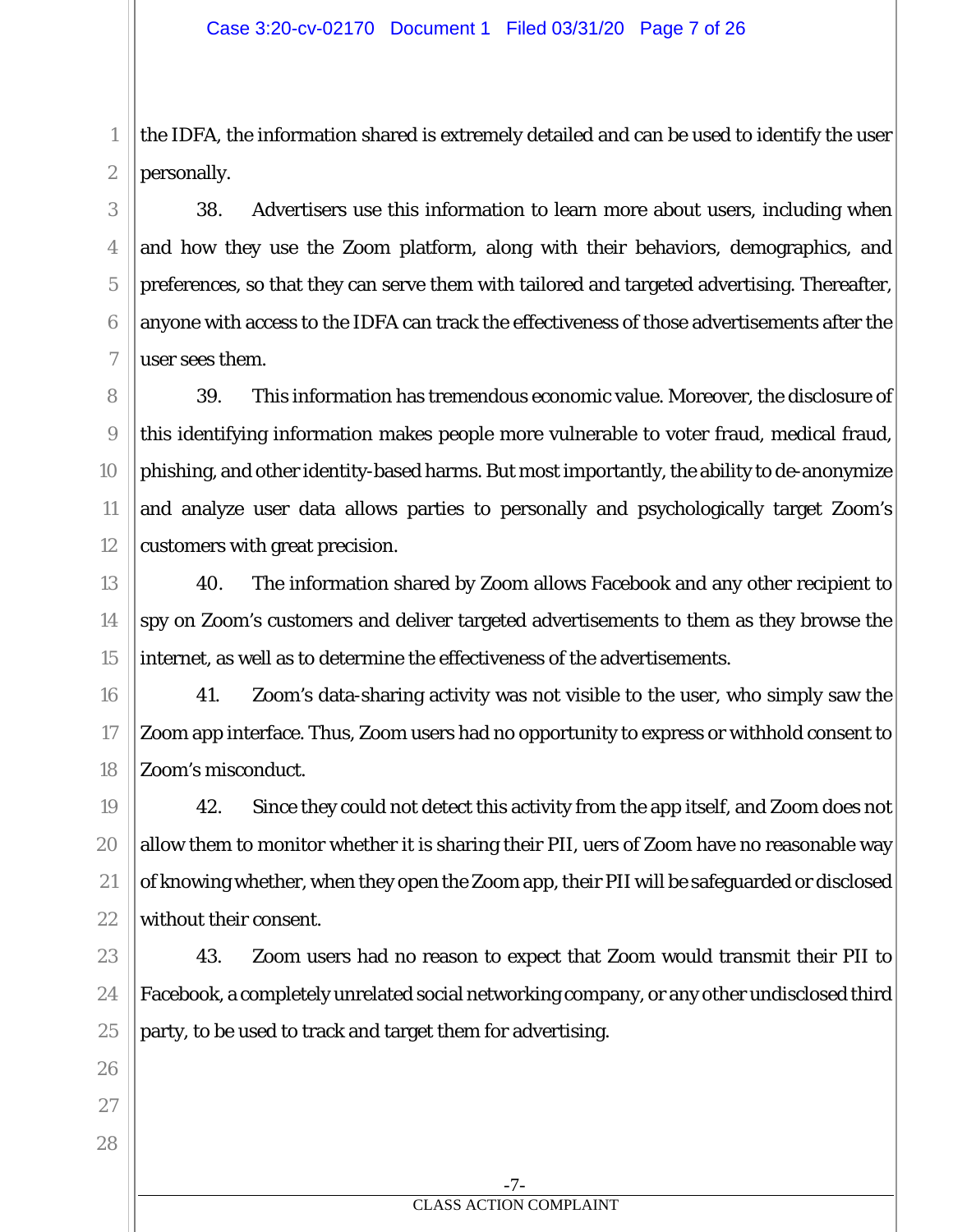the IDFA, the information shared is extremely detailed and can be used to identify the user personally.

38. Advertisers use this information to learn more about users, including when and how they use the Zoom platform, along with their behaviors, demographics, and preferences, so that they can serve them with tailored and targeted advertising. Thereafter, anyone with access to the IDFA can track the effectiveness of those advertisements after the user sees them.

39. This information has tremendous economic value. Moreover, the disclosure of this identifying information makes people more vulnerable to voter fraud, medical fraud, phishing, and other identity-based harms. But most importantly, the ability to de-anonymize and analyze user data allows parties to personally and psychologically target Zoom's customers with great precision.

40. The information shared by Zoom allows Facebook and any other recipient to spy on Zoom's customers and deliver targeted advertisements to them as they browse the internet, as well as to determine the effectiveness of the advertisements.

41. Zoom's data-sharing activity was not visible to the user, who simply saw the Zoom app interface. Thus, Zoom users had no opportunity to express or withhold consent to Zoom's misconduct.

42. Since they could not detect this activity from the app itself, and Zoom does not allow them to monitor whether it is sharing their PII, uers of Zoom have no reasonable way of knowing whether, when they open the Zoom app, their PII will be safeguarded or disclosed without their consent.

43. Zoom users had no reason to expect that Zoom would transmit their PII to Facebook, a completely unrelated social networking company, or any other undisclosed third party, to be used to track and target them for advertising.

1

2

3

4

5

6

7

8

9

10

11

12

13

14

15

28

-7- CLASS ACTION COMPLAINT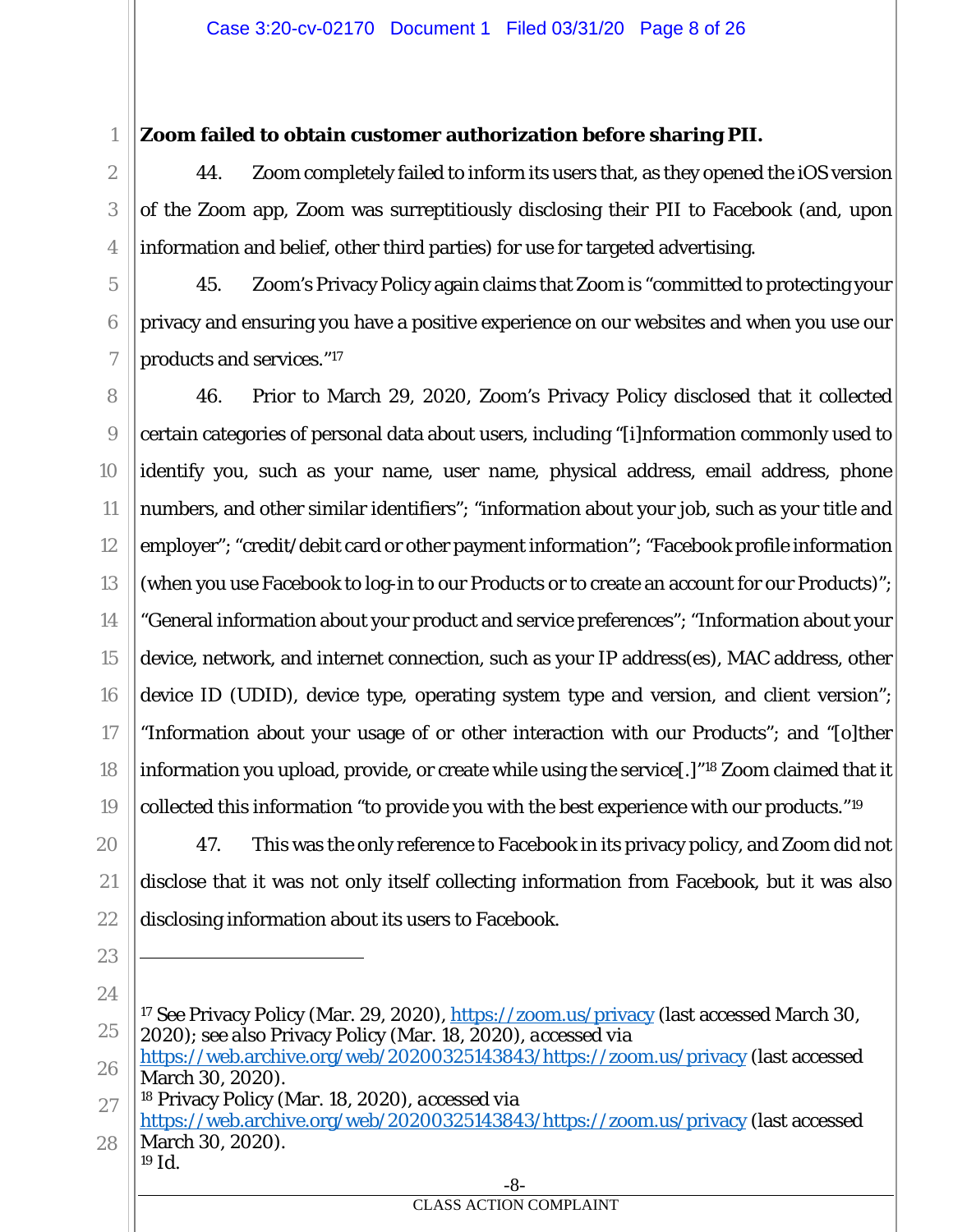## **Zoom failed to obtain customer authorization before sharing PII.**

44. Zoom completely failed to inform its users that, as they opened the iOS version of the Zoom app, Zoom was surreptitiously disclosing their PII to Facebook (and, upon information and belief, other third parties) for use for targeted advertising.

45. Zoom's Privacy Policy again claims that Zoom is "committed to protecting your privacy and ensuring you have a positive experience on our websites and when you use our products and services."17

46. Prior to March 29, 2020, Zoom's Privacy Policy disclosed that it collected certain categories of personal data about users, including "[i]nformation commonly used to identify you, such as your name, user name, physical address, email address, phone numbers, and other similar identifiers"; "information about your job, such as your title and employer"; "credit/debit card or other payment information"; "Facebook profile information (when you use Facebook to log-in to our Products or to create an account for our Products)"; "General information about your product and service preferences"; "Information about your device, network, and internet connection, such as your IP address(es), MAC address, other device ID (UDID), device type, operating system type and version, and client version"; "Information about your usage of or other interaction with our Products"; and "[o]ther information you upload, provide, or create while using the service[.]"18 Zoom claimed that it collected this information "to provide you with the best experience with our products."19

47. This was the only reference to Facebook in its privacy policy, and Zoom did not disclose that it was not only itself collecting information from Facebook, but it was also disclosing information about its users *to* Facebook.

23 24

1

2

3

4

5

6

7

8

9

10

11

12

13

14

15

16

17

18

19

20

21

22

28 March 30, 2020). <sup>19</sup> *Id.* 

<sup>25</sup> <sup>17</sup> *See* Privacy Policy (Mar. 29, 2020), https://zoom.us/privacy (last accessed March 30, 2020); *see also* Privacy Policy (Mar. 18, 2020), *accessed via* 

<sup>26</sup> https://web.archive.org/web/20200325143843/https://zoom.us/privacy (last accessed March 30, 2020).

<sup>27</sup> 18 Privacy Policy (Mar. 18, 2020), *accessed via*  https://web.archive.org/web/20200325143843/https://zoom.us/privacy (last accessed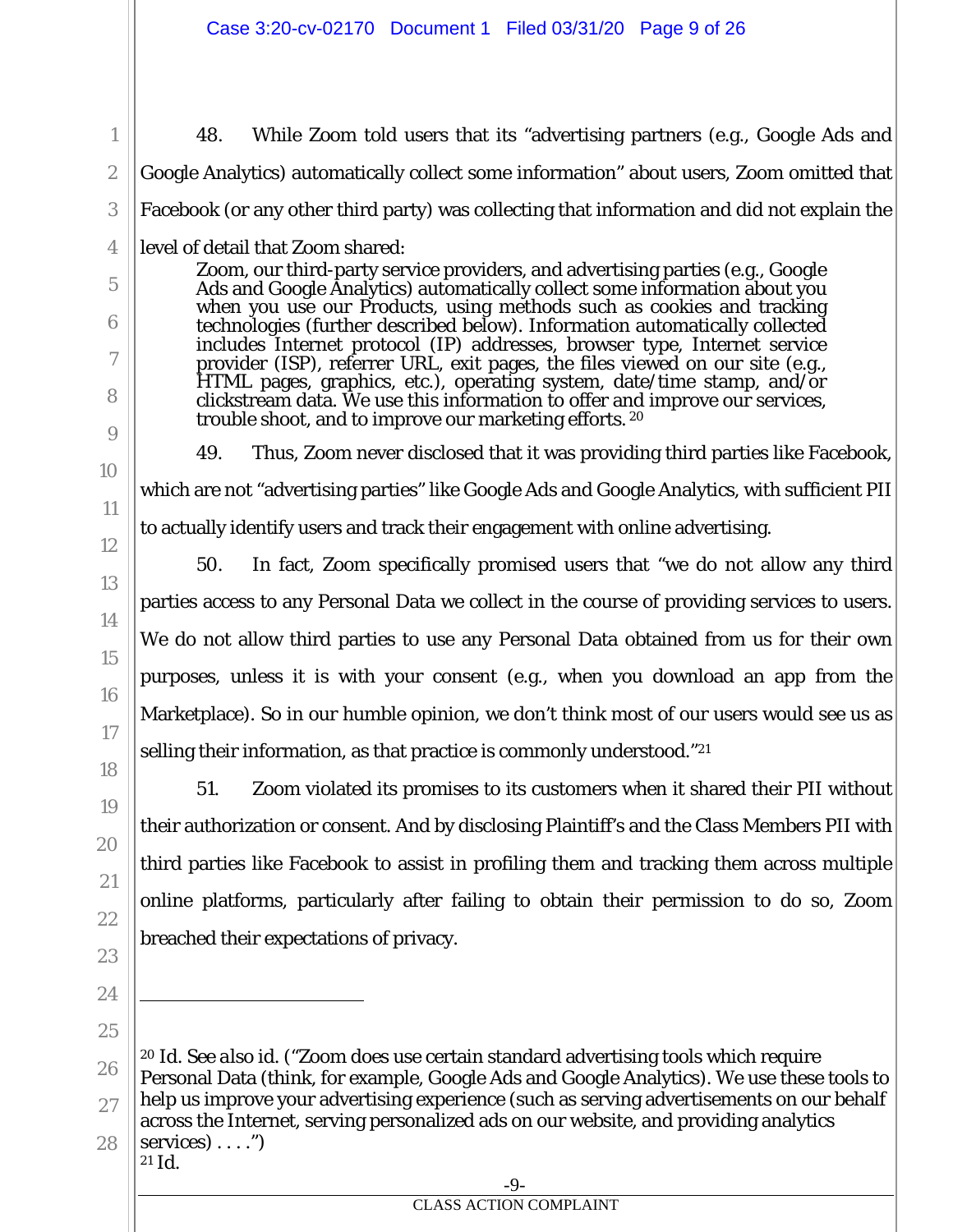48. While Zoom told users that its "advertising partners (e.g., Google Ads and Google Analytics) automatically collect some information" about users, Zoom omitted that Facebook (or any other third party) was collecting that information and did not explain the level of detail that Zoom shared: Zoom, our third-party service providers, and advertising parties (e.g., Google

Ads and Google Analytics) automatically collect some information about you<br>when you use our Products, using methods such as cookies and tracking technologies (further described below). Information automatically collected includes Internet protocol (IP) addresses, browser type, Internet service provider (ISP), referrer URL, exit pages, the files viewed on our site (e.g., HTML pages, graphics, etc.), operating system, date/time stamp, and/or clickstream data. We use this information to offer and improve our services, trouble shoot, and to improve our marketing efforts. 20

1

49. Thus, Zoom never disclosed that it was providing third parties like Facebook, which are not "advertising parties" like Google Ads and Google Analytics, with sufficient PII to actually identify users and track their engagement with online advertising.

50. In fact, Zoom specifically promised users that "we do not allow any third parties access to any Personal Data we collect in the course of providing services to users. We do not allow third parties to use any Personal Data obtained from us for their own purposes, unless it is with your consent (e.g., when you download an app from the Marketplace). So in our humble opinion, we don't think most of our users would see us as selling their information, as that practice is commonly understood."21

51. Zoom violated its promises to its customers when it shared their PII without their authorization or consent. And by disclosing Plaintiff's and the Class Members PII with third parties like Facebook to assist in profiling them and tracking them across multiple online platforms, particularly after failing to obtain their permission to do so, Zoom breached their expectations of privacy.

<sup>20</sup> *Id. See also id.* ("Zoom does use certain standard advertising tools which require Personal Data (think, for example, Google Ads and Google Analytics). We use these tools to help us improve your advertising experience (such as serving advertisements on our behalf across the Internet, serving personalized ads on our website, and providing analytics services $) \ldots$ ")  $21 \, \text{Id}$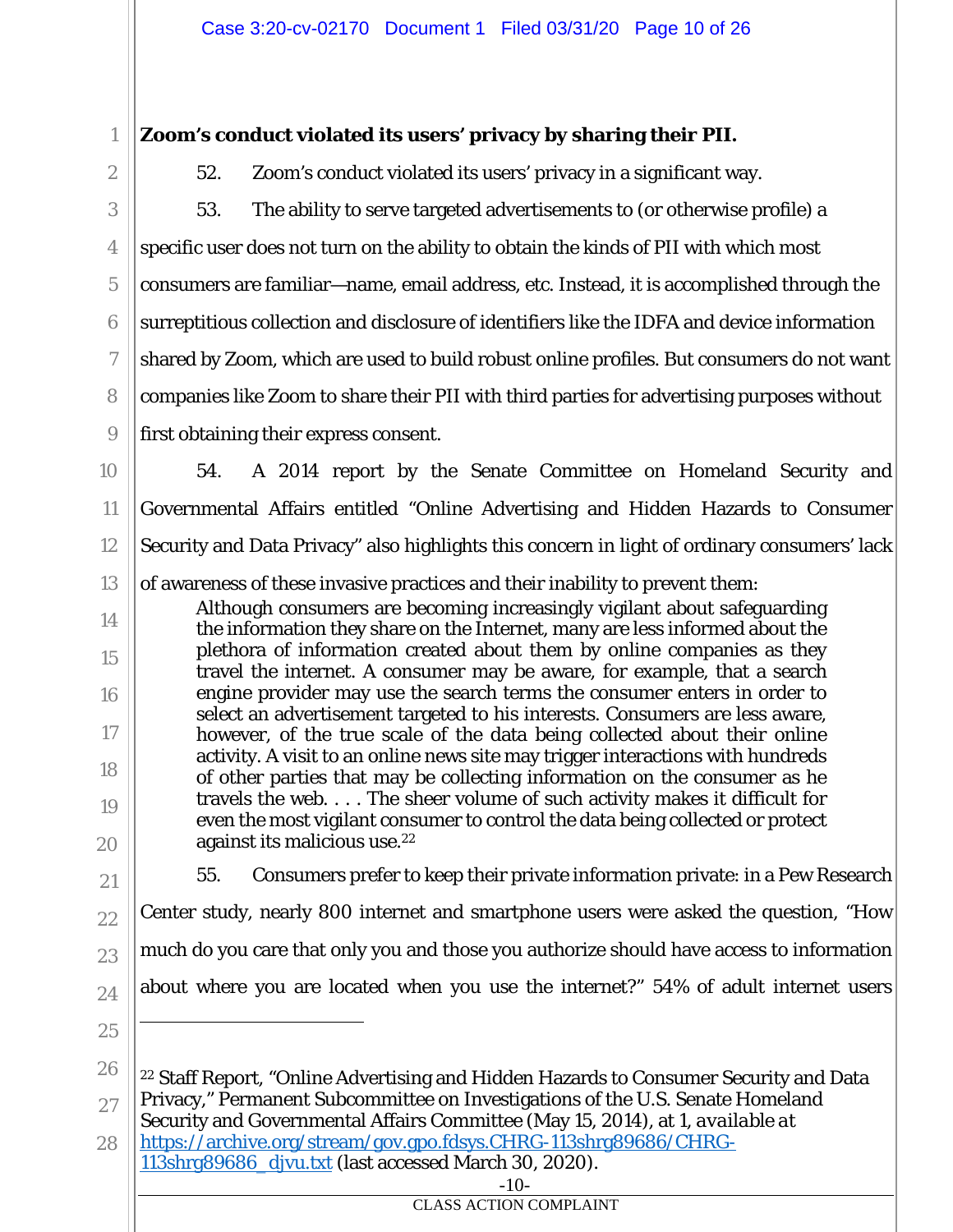# **Zoom's conduct violated its users' privacy by sharing their PII.**

1

2

3

4

5

6

7

8

9

14

15

16

17

18

19

52. Zoom's conduct violated its users' privacy in a significant way.

53. The ability to serve targeted advertisements to (or otherwise profile) a specific user does not turn on the ability to obtain the kinds of PII with which most consumers are familiar—name, email address, etc. Instead, it is accomplished through the surreptitious collection and disclosure of identifiers like the IDFA and device information shared by Zoom, which are used to build robust online profiles. But consumers do not want companies like Zoom to share their PII with third parties for advertising purposes without first obtaining their express consent.

10 11 12 13 54. A 2014 report by the Senate Committee on Homeland Security and Governmental Affairs entitled "Online Advertising and Hidden Hazards to Consumer Security and Data Privacy" also highlights this concern in light of ordinary consumers' lack of awareness of these invasive practices and their inability to prevent them:

Although consumers are becoming increasingly vigilant about safeguarding the information they share on the Internet, many are less informed about the plethora of information created about them by online companies as they travel the internet. A consumer may be aware, for example, that a search engine provider may use the search terms the consumer enters in order to select an advertisement targeted to his interests. Consumers are less aware, however, of the true scale of the data being collected about their online activity. A visit to an online news site may trigger interactions with hundreds of other parties that may be collecting information on the consumer as he travels the web. . . . The sheer volume of such activity makes it difficult for even the most vigilant consumer to control the data being collected or protect against its malicious use.22

20 21

22

23

- 55. Consumers prefer to keep their private information private: in a Pew Research Center study, nearly 800 internet and smartphone users were asked the question, "How much do you care that only you and those you authorize should have access to information about where you are located when you use the internet?" 54% of adult internet users
- 25

24

28 https://archive.org/stream/gov.gpo.fdsys.CHRG-113shrg89686/CHRG-113shrg89686\_djvu.txt (last accessed March 30, 2020).

-10-

<sup>26</sup> 27 22 Staff Report, "Online Advertising and Hidden Hazards to Consumer Security and Data Privacy," Permanent Subcommittee on Investigations of the U.S. Senate Homeland Security and Governmental Affairs Committee (May 15, 2014), at 1, *available at*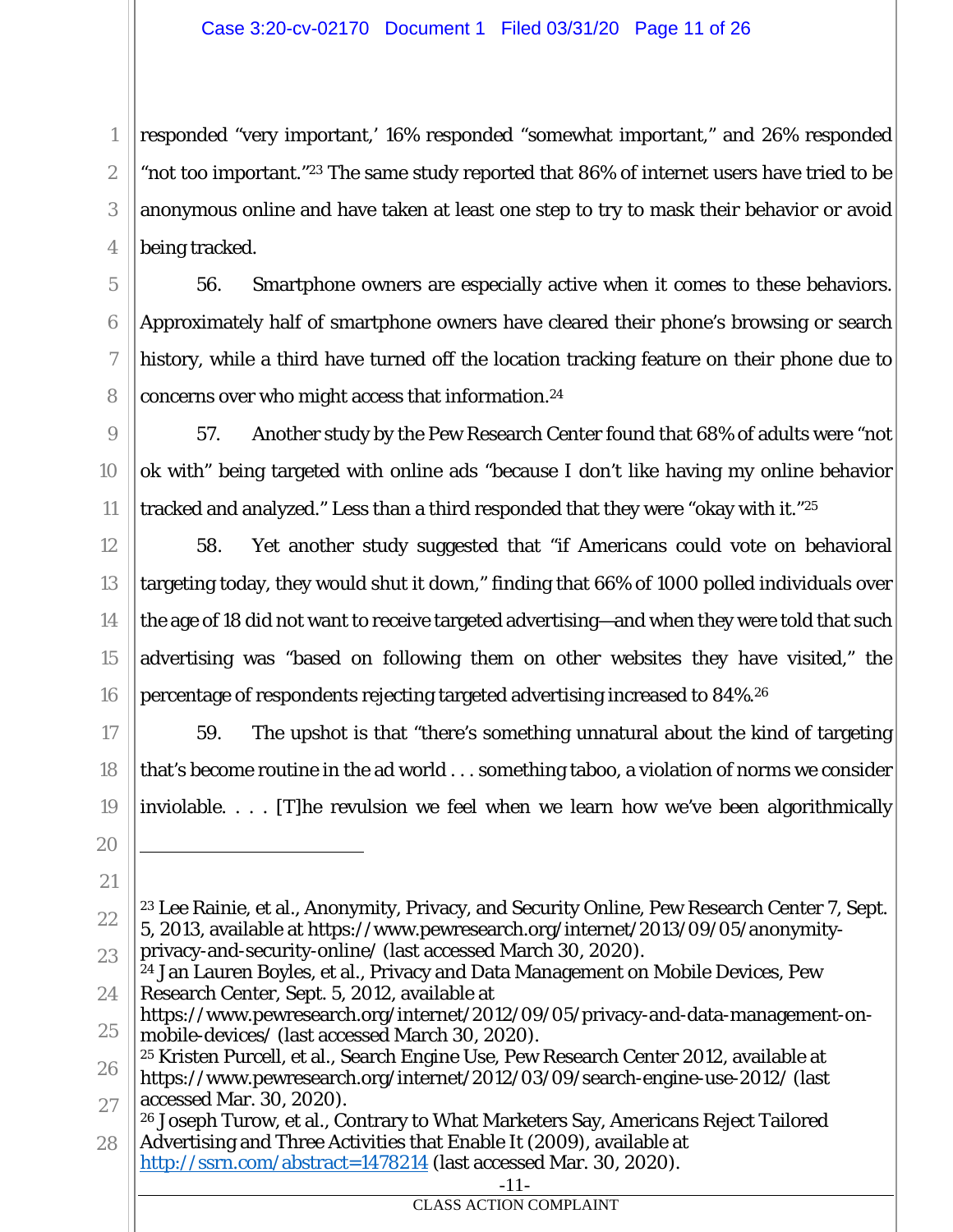1

2

3

4

5

6

7

8

9

10

11

12

13

14

15

16

17

18

19

20

21

responded "very important,' 16% responded "somewhat important," and 26% responded "not too important."23 The same study reported that 86% of internet users have tried to be anonymous online and have taken at least one step to try to mask their behavior or avoid being tracked.

56. Smartphone owners are especially active when it comes to these behaviors. Approximately half of smartphone owners have cleared their phone's browsing or search history, while a third have turned off the location tracking feature on their phone due to concerns over who might access that information.24

57. Another study by the Pew Research Center found that 68% of adults were "not ok with" being targeted with online ads "because I don't like having my online behavior tracked and analyzed." Less than a third responded that they were "okay with it."25

58. Yet another study suggested that "if Americans could vote on behavioral targeting today, they would shut it down," finding that 66% of 1000 polled individuals over the age of 18 did not want to receive targeted advertising—and when they were told that such advertising was "based on following them on other websites they have visited," the percentage of respondents rejecting targeted advertising increased to 84%.26

59. The upshot is that "there's something unnatural about the kind of targeting that's become routine in the ad world . . . something taboo, a violation of norms we consider inviolable. . . . [T]he revulsion we feel when we learn how we've been algorithmically

<sup>22</sup> 23 Lee Rainie, et al., Anonymity, Privacy, and Security Online, Pew Research Center 7, Sept. 5, 2013, available at https://www.pewresearch.org/internet/2013/09/05/anonymityprivacy-and-security-online/ (last accessed March 30, 2020).

<sup>23</sup> 24 24 Jan Lauren Boyles, et al., Privacy and Data Management on Mobile Devices, Pew Research Center, Sept. 5, 2012, available at

<sup>25</sup> https://www.pewresearch.org/internet/2012/09/05/privacy-and-data-management-onmobile-devices/ (last accessed March 30, 2020).

<sup>26</sup> 27 25 Kristen Purcell, et al., Search Engine Use, Pew Research Center 2012, available at https://www.pewresearch.org/internet/2012/03/09/search-engine-use-2012/ (last accessed Mar. 30, 2020).

<sup>28</sup> 26 Joseph Turow, et al., Contrary to What Marketers Say, Americans Reject Tailored Advertising and Three Activities that Enable It (2009), available at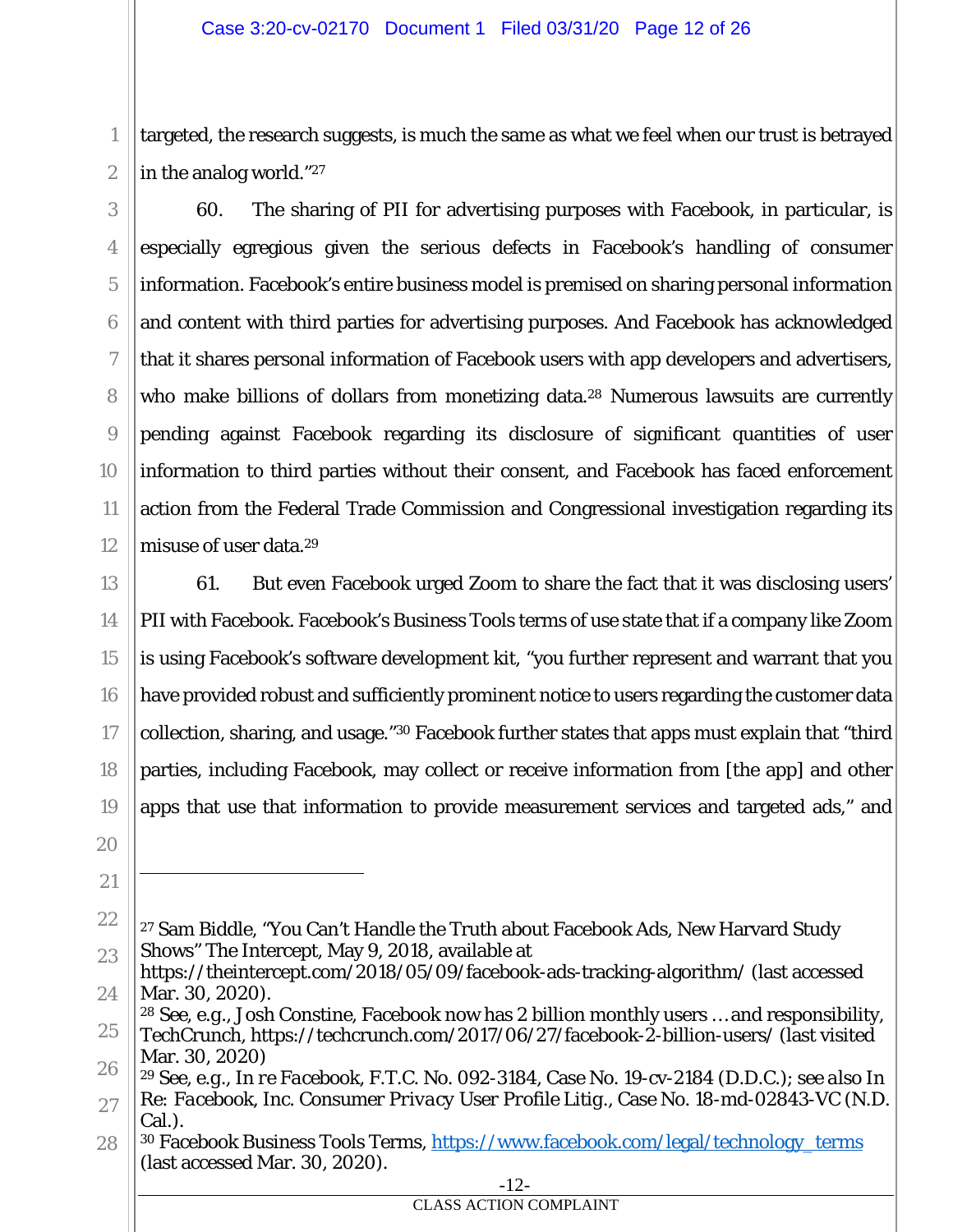targeted, the research suggests, is much the same as what we feel when our trust is betrayed in the analog world."27

60. The sharing of PII for advertising purposes with Facebook, in particular, is especially egregious given the serious defects in Facebook's handling of consumer information. Facebook's entire business model is premised on sharing personal information and content with third parties for advertising purposes. And Facebook has acknowledged that it shares personal information of Facebook users with app developers and advertisers, who make billions of dollars from monetizing data.<sup>28</sup> Numerous lawsuits are currently pending against Facebook regarding its disclosure of significant quantities of user information to third parties without their consent, and Facebook has faced enforcement action from the Federal Trade Commission and Congressional investigation regarding its misuse of user data.29

13 16 18 19 61. But even Facebook urged Zoom to share the fact that it was disclosing users' PII with Facebook. Facebook's Business Tools terms of use state that if a company like Zoom is using Facebook's software development kit, "you further represent and warrant that you have provided robust and sufficiently prominent notice to users regarding the customer data collection, sharing, and usage."30 Facebook further states that apps must explain that "third parties, including Facebook, may collect or receive information from [the app] and other apps that use that information to provide measurement services and targeted ads," and

1

2

3

4

5

6

7

8

9

10

11

12

14

15

<sup>20</sup> 21

<sup>22</sup> 23 27 Sam Biddle, "You Can't Handle the Truth about Facebook Ads, New Harvard Study Shows" The Intercept, May 9, 2018, available at

<sup>24</sup> https://theintercept.com/2018/05/09/facebook-ads-tracking-algorithm/ (last accessed Mar. 30, 2020).

<sup>25</sup> <sup>28</sup> *See, e.g.*, Josh Constine, Facebook now has 2 billion monthly users … and responsibility, TechCrunch, https://techcrunch.com/2017/06/27/facebook-2-billion-users/ (last visited

<sup>26</sup> Mar. 30, 2020)

<sup>27</sup> <sup>29</sup> *See, e.g.*, *In re Facebook*, F.T.C. No. 092-3184, Case No. 19-cv-2184 (D.D.C.); *see also In Re: Facebook, Inc. Consumer Privacy User Profile Litig.*, Case No. 18-md-02843-VC (N.D. Cal.).

<sup>28</sup> 30 Facebook Business Tools Terms, https://www.facebook.com/legal/technology\_terms (last accessed Mar. 30, 2020).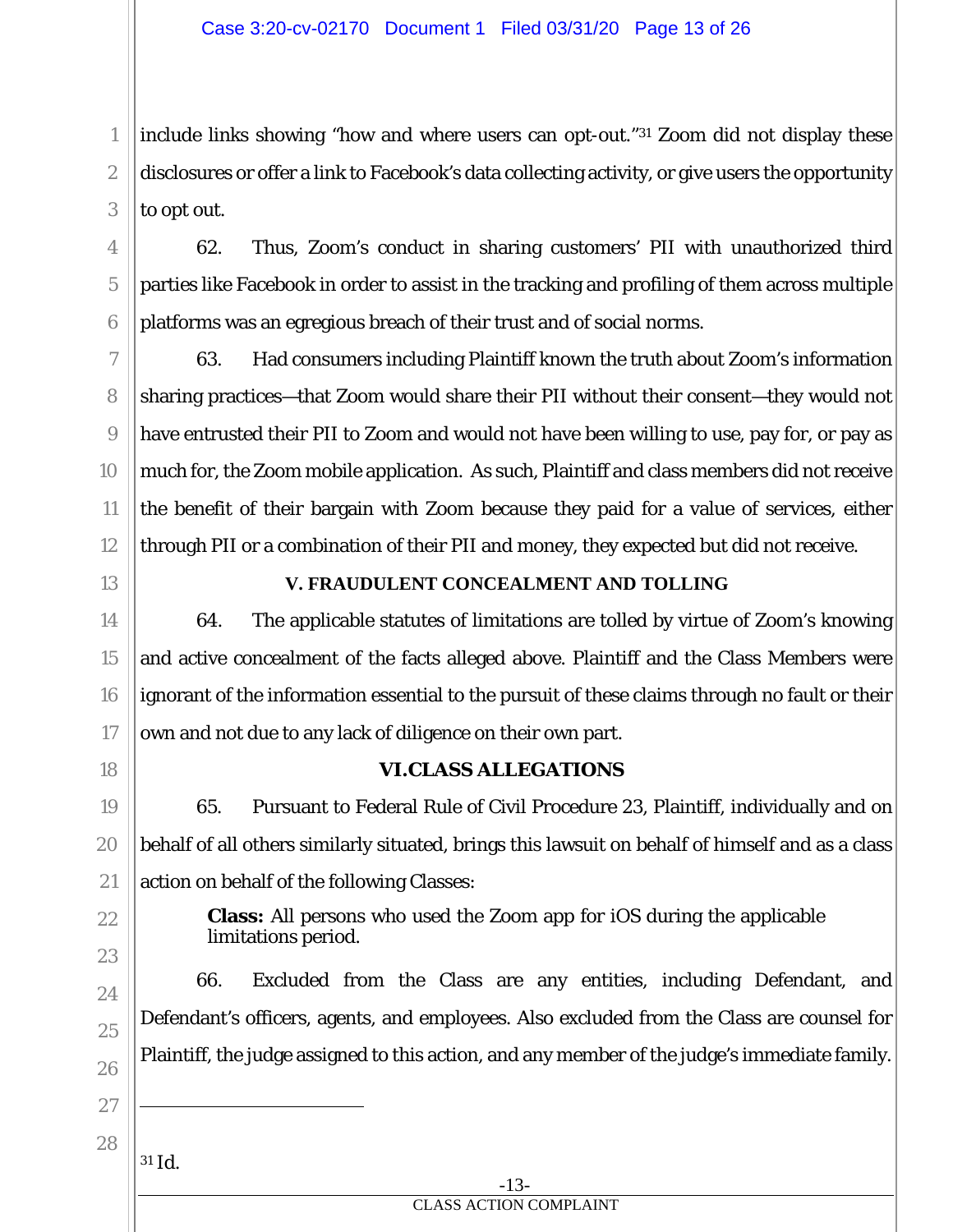include links showing "how and where users can opt-out."31 Zoom did not display these disclosures or offer a link to Facebook's data collecting activity, or give users the opportunity to opt out.

62. Thus, Zoom's conduct in sharing customers' PII with unauthorized third parties like Facebook in order to assist in the tracking and profiling of them across multiple platforms was an egregious breach of their trust and of social norms.

63. Had consumers including Plaintiff known the truth about Zoom's information sharing practices—that Zoom would share their PII without their consent—they would not have entrusted their PII to Zoom and would not have been willing to use, pay for, or pay as much for, the Zoom mobile application. As such, Plaintiff and class members did not receive the benefit of their bargain with Zoom because they paid for a value of services, either through PII or a combination of their PII and money, they expected but did not receive.

13

14

15

16

17

1

2

3

4

5

6

7

8

9

10

11

12

## **V. FRAUDULENT CONCEALMENT AND TOLLING**

64. The applicable statutes of limitations are tolled by virtue of Zoom's knowing and active concealment of the facts alleged above. Plaintiff and the Class Members were ignorant of the information essential to the pursuit of these claims through no fault or their own and not due to any lack of diligence on their own part.

18

19

20

21

23

24

25

26

## **VI.CLASS ALLEGATIONS**

65. Pursuant to Federal Rule of Civil Procedure 23, Plaintiff, individually and on behalf of all others similarly situated, brings this lawsuit on behalf of himself and as a class action on behalf of the following Classes:

22

**Class:** All persons who used the Zoom app for iOS during the applicable limitations period.

66. Excluded from the Class are any entities, including Defendant, and Defendant's officers, agents, and employees. Also excluded from the Class are counsel for Plaintiff, the judge assigned to this action, and any member of the judge's immediate family.

27

28 <sup>31</sup> *Id.*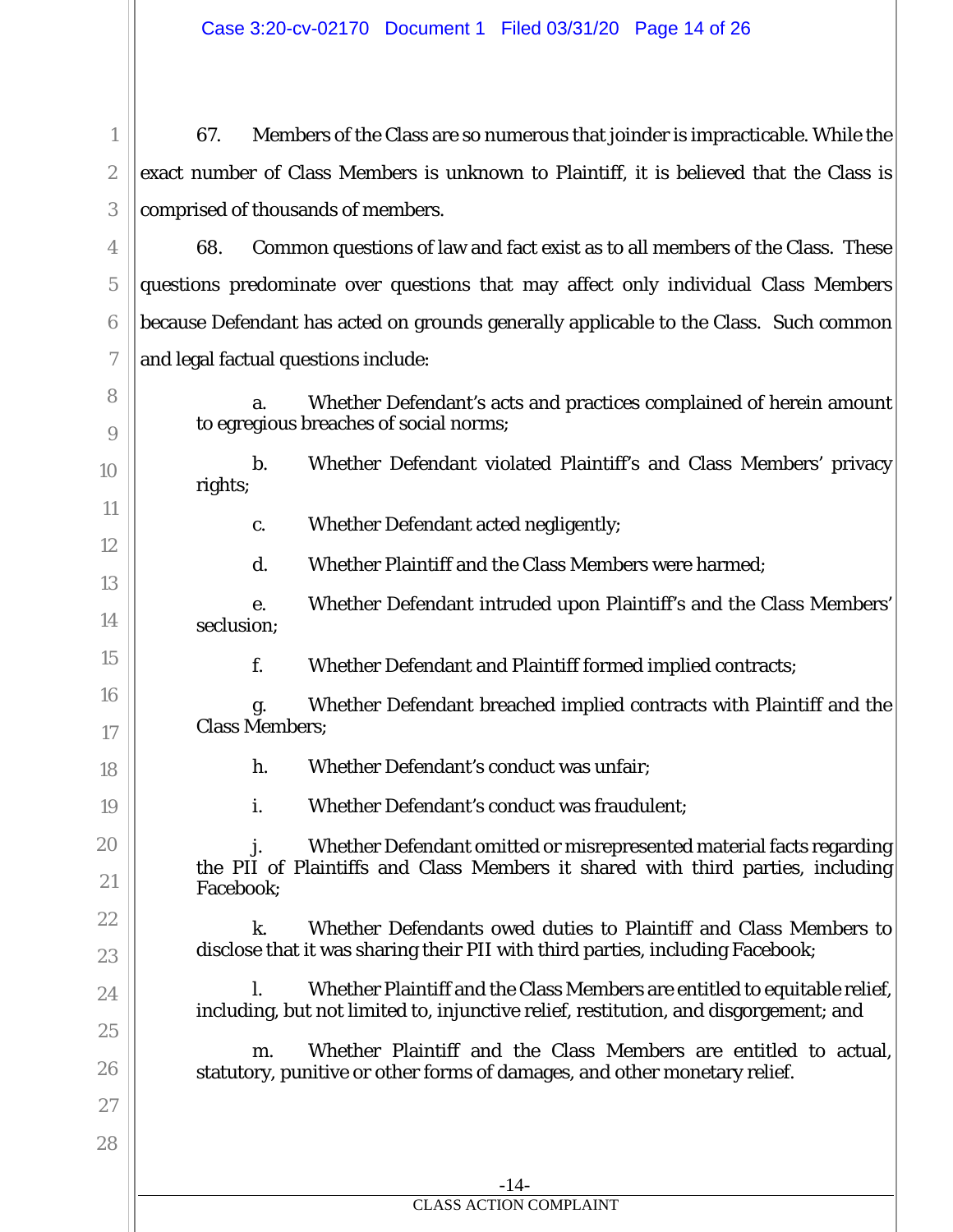1

2

3

4

5

6

7

8

9

10

11

12

13

14

15

16

17

18

19

20

21

22

23

24

25

26

27

28

67. Members of the Class are so numerous that joinder is impracticable. While the exact number of Class Members is unknown to Plaintiff, it is believed that the Class is comprised of thousands of members.

68. Common questions of law and fact exist as to all members of the Class. These questions predominate over questions that may affect only individual Class Members because Defendant has acted on grounds generally applicable to the Class. Such common and legal factual questions include:

a. Whether Defendant's acts and practices complained of herein amount to egregious breaches of social norms;

b. Whether Defendant violated Plaintiff's and Class Members' privacy rights;

c. Whether Defendant acted negligently;

d. Whether Plaintiff and the Class Members were harmed;

e. Whether Defendant intruded upon Plaintiff's and the Class Members' seclusion;

f. Whether Defendant and Plaintiff formed implied contracts;

g. Whether Defendant breached implied contracts with Plaintiff and the Class Members;

h. Whether Defendant's conduct was unfair;

i. Whether Defendant's conduct was fraudulent;

Whether Defendant omitted or misrepresented material facts regarding the PII of Plaintiffs and Class Members it shared with third parties, including Facebook;

k. Whether Defendants owed duties to Plaintiff and Class Members to disclose that it was sharing their PII with third parties, including Facebook;

l. Whether Plaintiff and the Class Members are entitled to equitable relief, including, but not limited to, injunctive relief, restitution, and disgorgement; and

m. Whether Plaintiff and the Class Members are entitled to actual, statutory, punitive or other forms of damages, and other monetary relief.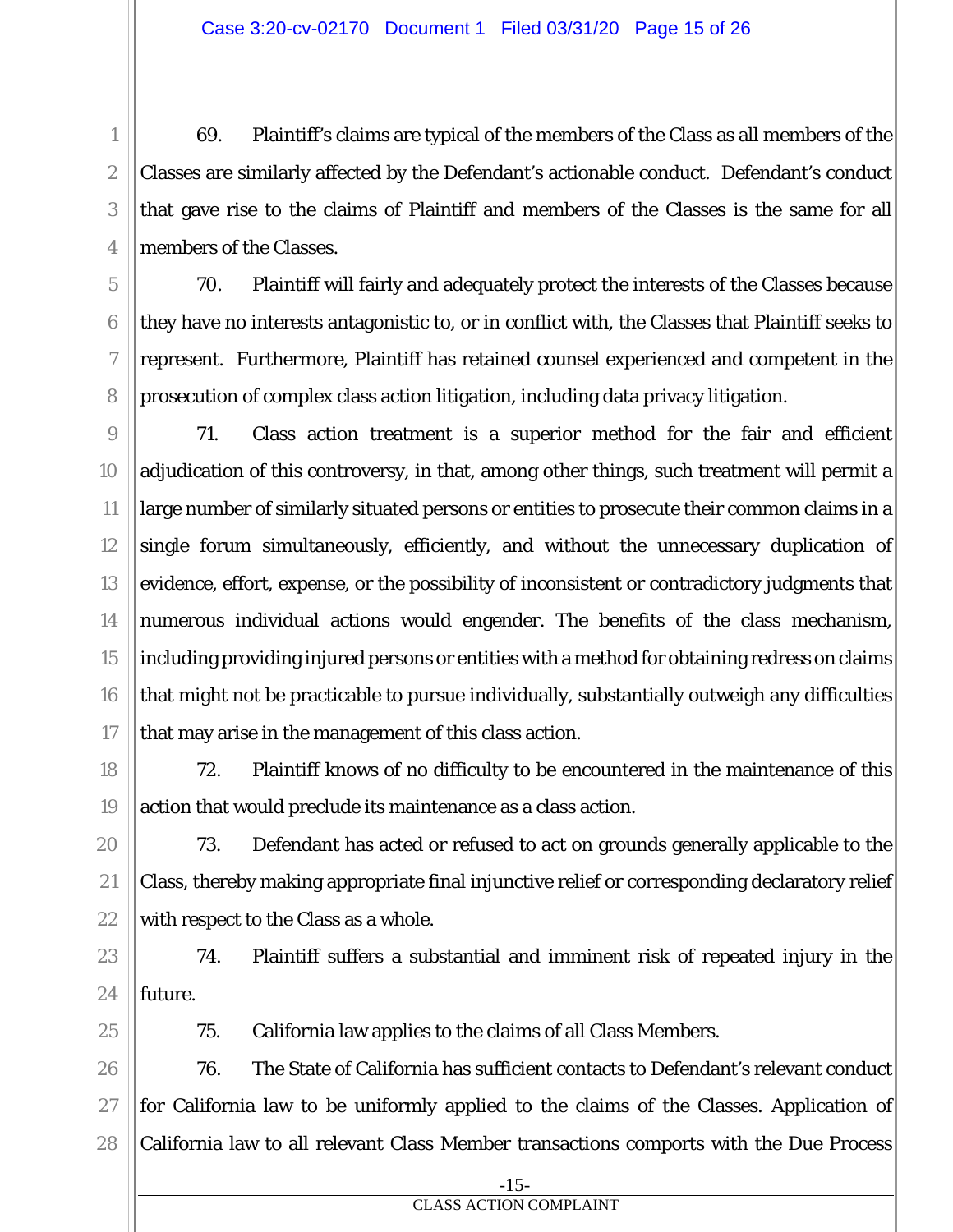69. Plaintiff's claims are typical of the members of the Class as all members of the Classes are similarly affected by the Defendant's actionable conduct. Defendant's conduct that gave rise to the claims of Plaintiff and members of the Classes is the same for all members of the Classes.

70. Plaintiff will fairly and adequately protect the interests of the Classes because they have no interests antagonistic to, or in conflict with, the Classes that Plaintiff seeks to represent. Furthermore, Plaintiff has retained counsel experienced and competent in the prosecution of complex class action litigation, including data privacy litigation.

71. Class action treatment is a superior method for the fair and efficient adjudication of this controversy, in that, among other things, such treatment will permit a large number of similarly situated persons or entities to prosecute their common claims in a single forum simultaneously, efficiently, and without the unnecessary duplication of evidence, effort, expense, or the possibility of inconsistent or contradictory judgments that numerous individual actions would engender. The benefits of the class mechanism, including providing injured persons or entities with a method for obtaining redress on claims that might not be practicable to pursue individually, substantially outweigh any difficulties that may arise in the management of this class action.

72. Plaintiff knows of no difficulty to be encountered in the maintenance of this action that would preclude its maintenance as a class action.

73. Defendant has acted or refused to act on grounds generally applicable to the Class, thereby making appropriate final injunctive relief or corresponding declaratory relief with respect to the Class as a whole.

74. Plaintiff suffers a substantial and imminent risk of repeated injury in the future.

75. California law applies to the claims of all Class Members.

76. The State of California has sufficient contacts to Defendant's relevant conduct for California law to be uniformly applied to the claims of the Classes. Application of California law to all relevant Class Member transactions comports with the Due Process

1

2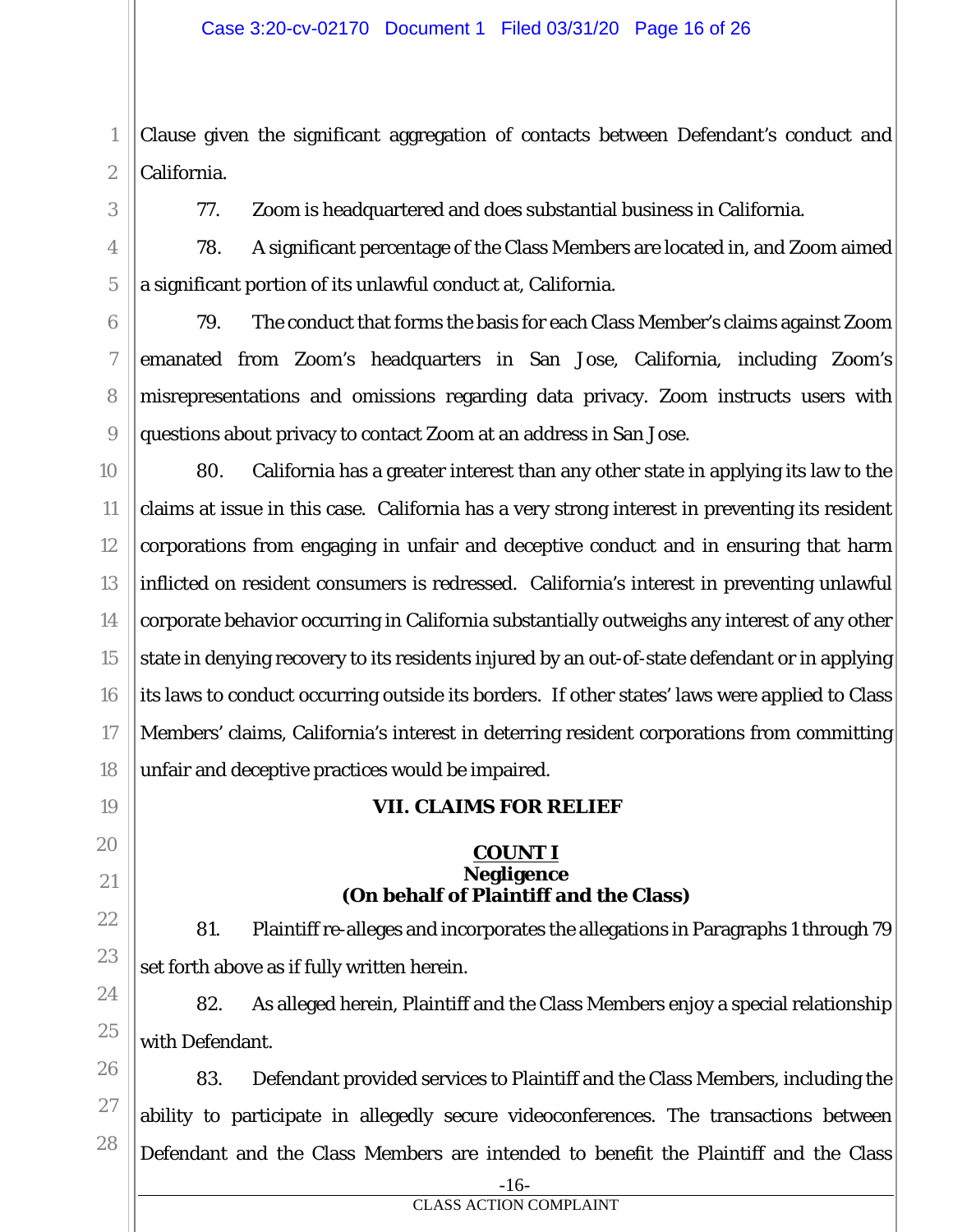Clause given the significant aggregation of contacts between Defendant's conduct and California.

1

2

3

4

5

6

7

8

9

77. Zoom is headquartered and does substantial business in California.

78. A significant percentage of the Class Members are located in, and Zoom aimed a significant portion of its unlawful conduct at, California.

79. The conduct that forms the basis for each Class Member's claims against Zoom emanated from Zoom's headquarters in San Jose, California, including Zoom's misrepresentations and omissions regarding data privacy. Zoom instructs users with questions about privacy to contact Zoom at an address in San Jose.

10 11 12 13 14 15 16 17 18 80. California has a greater interest than any other state in applying its law to the claims at issue in this case. California has a very strong interest in preventing its resident corporations from engaging in unfair and deceptive conduct and in ensuring that harm inflicted on resident consumers is redressed. California's interest in preventing unlawful corporate behavior occurring in California substantially outweighs any interest of any other state in denying recovery to its residents injured by an out-of-state defendant or in applying its laws to conduct occurring outside its borders. If other states' laws were applied to Class Members' claims, California's interest in deterring resident corporations from committing unfair and deceptive practices would be impaired.

**VII. CLAIMS FOR RELIEF** 

**COUNT I Negligence (On behalf of Plaintiff and the Class)** 

81. Plaintiff re-alleges and incorporates the allegations in Paragraphs 1 through 79

19

20

21

22

23 24 25

set forth above as if fully written herein.

26 27

82. As alleged herein, Plaintiff and the Class Members enjoy a special relationship with Defendant.

28 83. Defendant provided services to Plaintiff and the Class Members, including the ability to participate in allegedly secure videoconferences. The transactions between Defendant and the Class Members are intended to benefit the Plaintiff and the Class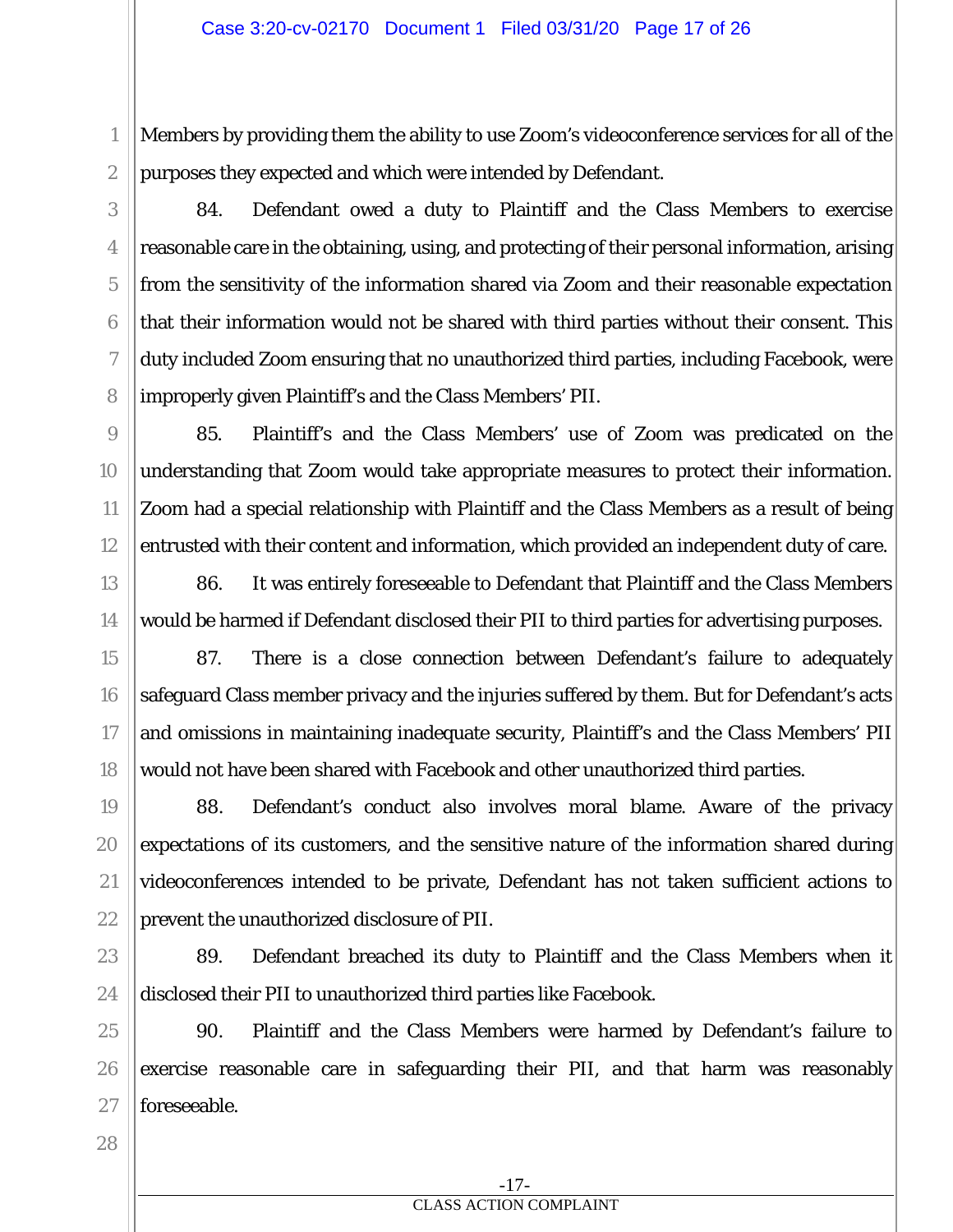Members by providing them the ability to use Zoom's videoconference services for all of the purposes they expected and which were intended by Defendant.

84. Defendant owed a duty to Plaintiff and the Class Members to exercise reasonable care in the obtaining, using, and protecting of their personal information, arising from the sensitivity of the information shared via Zoom and their reasonable expectation that their information would not be shared with third parties without their consent. This duty included Zoom ensuring that no unauthorized third parties, including Facebook, were improperly given Plaintiff's and the Class Members' PII.

85. Plaintiff's and the Class Members' use of Zoom was predicated on the understanding that Zoom would take appropriate measures to protect their information. Zoom had a special relationship with Plaintiff and the Class Members as a result of being entrusted with their content and information, which provided an independent duty of care.

86. It was entirely foreseeable to Defendant that Plaintiff and the Class Members would be harmed if Defendant disclosed their PII to third parties for advertising purposes.

87. There is a close connection between Defendant's failure to adequately safeguard Class member privacy and the injuries suffered by them. But for Defendant's acts and omissions in maintaining inadequate security, Plaintiff's and the Class Members' PII would not have been shared with Facebook and other unauthorized third parties.

88. Defendant's conduct also involves moral blame. Aware of the privacy expectations of its customers, and the sensitive nature of the information shared during videoconferences intended to be private, Defendant has not taken sufficient actions to prevent the unauthorized disclosure of PII.

89. Defendant breached its duty to Plaintiff and the Class Members when it disclosed their PII to unauthorized third parties like Facebook.

90. Plaintiff and the Class Members were harmed by Defendant's failure to exercise reasonable care in safeguarding their PII, and that harm was reasonably foreseeable.

1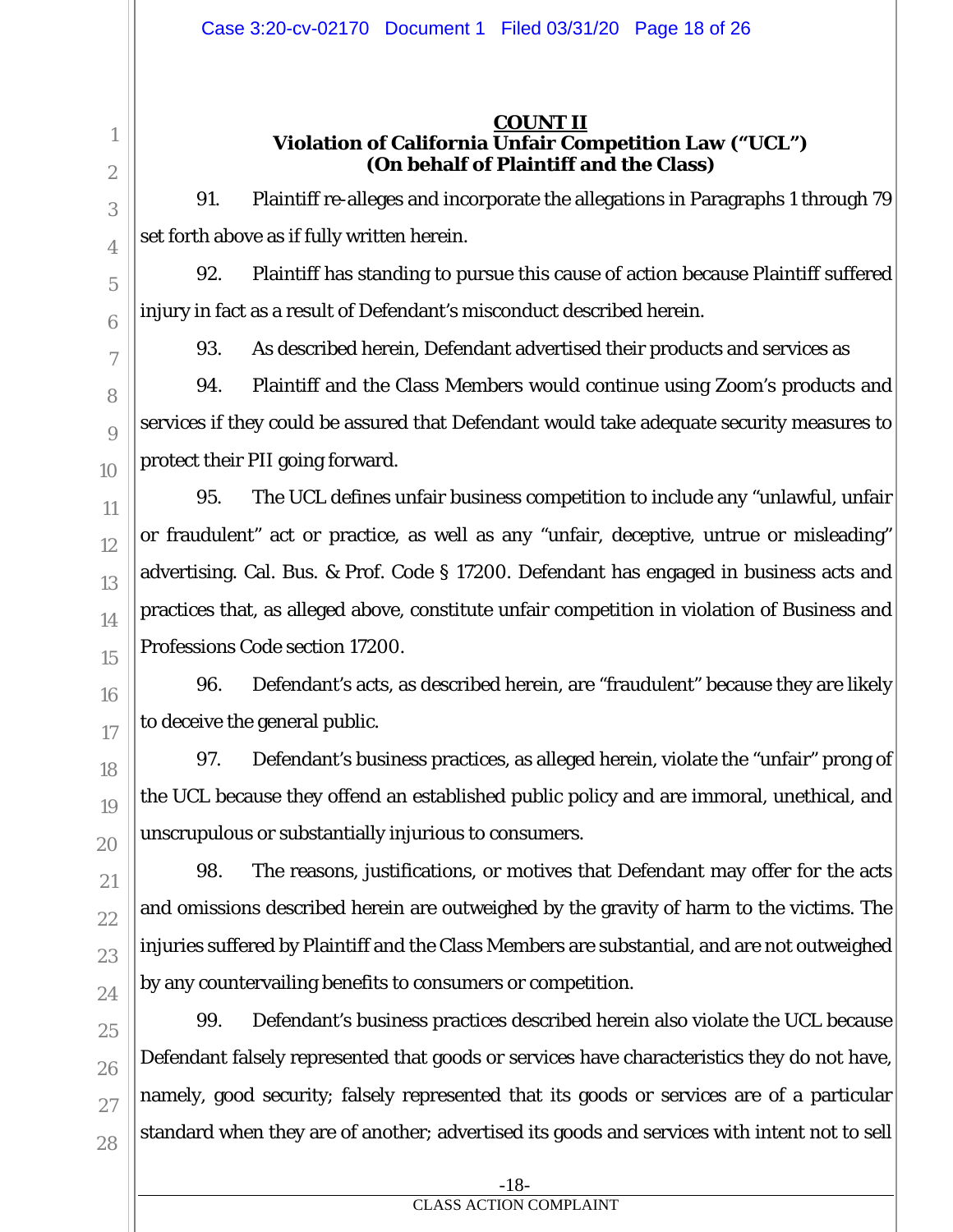## **COUNT II Violation of California Unfair Competition Law ("UCL") (On behalf of Plaintiff and the Class)**

91. Plaintiff re-alleges and incorporate the allegations in Paragraphs 1 through 79 set forth above as if fully written herein.

92. Plaintiff has standing to pursue this cause of action because Plaintiff suffered injury in fact as a result of Defendant's misconduct described herein.

93. As described herein, Defendant advertised their products and services as

94. Plaintiff and the Class Members would continue using Zoom's products and services if they could be assured that Defendant would take adequate security measures to protect their PII going forward.

95. The UCL defines unfair business competition to include any "unlawful, unfair or fraudulent" act or practice, as well as any "unfair, deceptive, untrue or misleading" advertising. Cal. Bus. & Prof. Code § 17200. Defendant has engaged in business acts and practices that, as alleged above, constitute unfair competition in violation of Business and Professions Code section 17200.

96. Defendant's acts, as described herein, are "fraudulent" because they are likely to deceive the general public.

97. Defendant's business practices, as alleged herein, violate the "unfair" prong of the UCL because they offend an established public policy and are immoral, unethical, and unscrupulous or substantially injurious to consumers.

98. The reasons, justifications, or motives that Defendant may offer for the acts and omissions described herein are outweighed by the gravity of harm to the victims. The injuries suffered by Plaintiff and the Class Members are substantial, and are not outweighed by any countervailing benefits to consumers or competition.

99. Defendant's business practices described herein also violate the UCL because Defendant falsely represented that goods or services have characteristics they do not have, namely, good security; falsely represented that its goods or services are of a particular standard when they are of another; advertised its goods and services with intent not to sell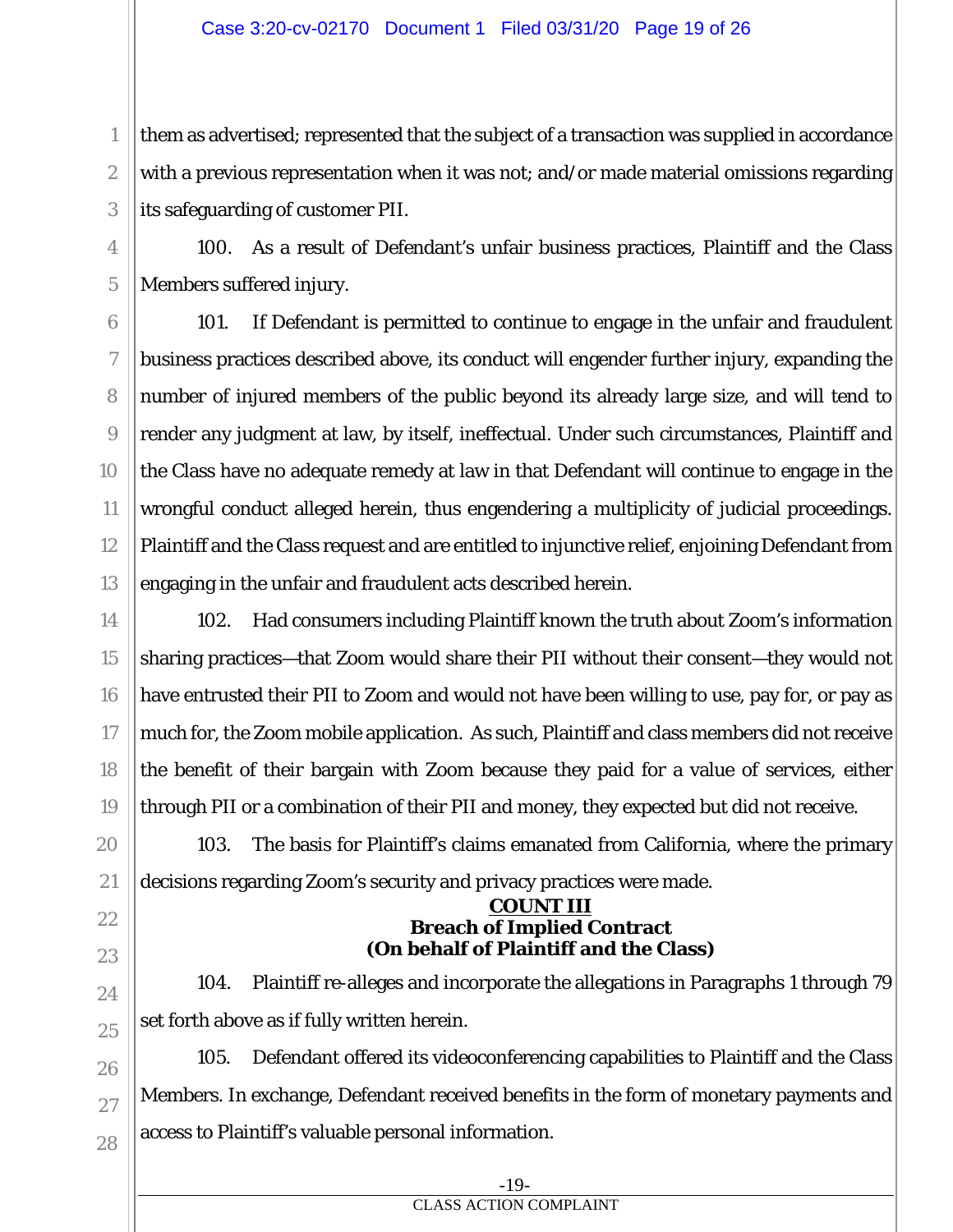them as advertised; represented that the subject of a transaction was supplied in accordance with a previous representation when it was not; and/or made material omissions regarding its safeguarding of customer PII.

100. As a result of Defendant's unfair business practices, Plaintiff and the Class Members suffered injury.

101. If Defendant is permitted to continue to engage in the unfair and fraudulent business practices described above, its conduct will engender further injury, expanding the number of injured members of the public beyond its already large size, and will tend to render any judgment at law, by itself, ineffectual. Under such circumstances, Plaintiff and the Class have no adequate remedy at law in that Defendant will continue to engage in the wrongful conduct alleged herein, thus engendering a multiplicity of judicial proceedings. Plaintiff and the Class request and are entitled to injunctive relief, enjoining Defendant from engaging in the unfair and fraudulent acts described herein.

102. Had consumers including Plaintiff known the truth about Zoom's information sharing practices—that Zoom would share their PII without their consent—they would not have entrusted their PII to Zoom and would not have been willing to use, pay for, or pay as much for, the Zoom mobile application. As such, Plaintiff and class members did not receive the benefit of their bargain with Zoom because they paid for a value of services, either through PII or a combination of their PII and money, they expected but did not receive.

103. The basis for Plaintiff's claims emanated from California, where the primary decisions regarding Zoom's security and privacy practices were made.

#### **COUNT III Breach of Implied Contract (On behalf of Plaintiff and the Class)**

104. Plaintiff re-alleges and incorporate the allegations in Paragraphs 1 through 79 set forth above as if fully written herein.

105. Defendant offered its videoconferencing capabilities to Plaintiff and the Class Members. In exchange, Defendant received benefits in the form of monetary payments and access to Plaintiff's valuable personal information.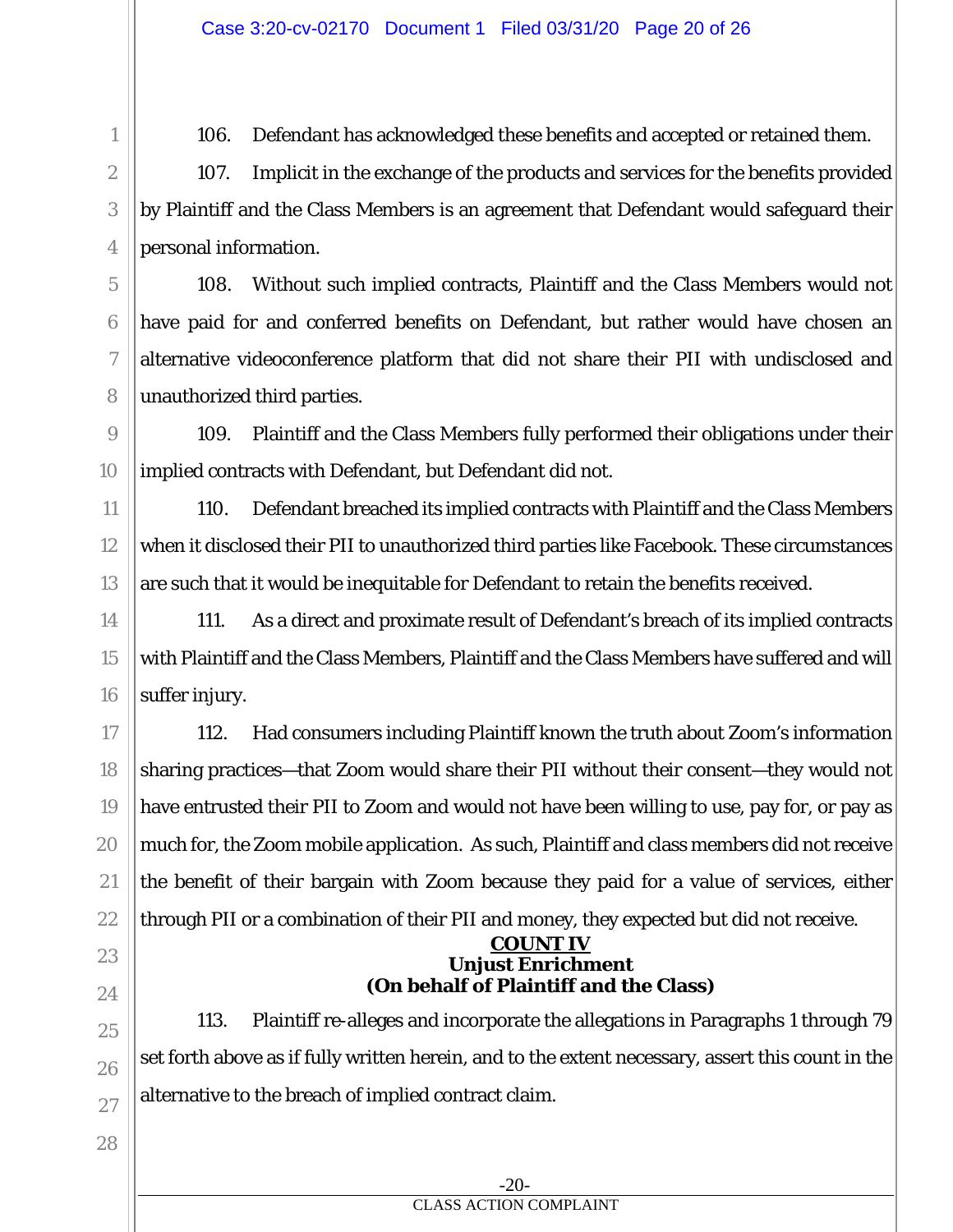106. Defendant has acknowledged these benefits and accepted or retained them.

107. Implicit in the exchange of the products and services for the benefits provided by Plaintiff and the Class Members is an agreement that Defendant would safeguard their personal information.

108. Without such implied contracts, Plaintiff and the Class Members would not have paid for and conferred benefits on Defendant, but rather would have chosen an alternative videoconference platform that did not share their PII with undisclosed and unauthorized third parties.

109. Plaintiff and the Class Members fully performed their obligations under their implied contracts with Defendant, but Defendant did not.

110. Defendant breached its implied contracts with Plaintiff and the Class Members when it disclosed their PII to unauthorized third parties like Facebook. These circumstances are such that it would be inequitable for Defendant to retain the benefits received.

111. As a direct and proximate result of Defendant's breach of its implied contracts with Plaintiff and the Class Members, Plaintiff and the Class Members have suffered and will suffer injury.

17 18 19 20 21 22 112. Had consumers including Plaintiff known the truth about Zoom's information sharing practices—that Zoom would share their PII without their consent—they would not have entrusted their PII to Zoom and would not have been willing to use, pay for, or pay as much for, the Zoom mobile application. As such, Plaintiff and class members did not receive the benefit of their bargain with Zoom because they paid for a value of services, either through PII or a combination of their PII and money, they expected but did not receive.

#### **COUNT IV Unjust Enrichment (On behalf of Plaintiff and the Class)**

113. Plaintiff re-alleges and incorporate the allegations in Paragraphs 1 through 79 set forth above as if fully written herein, and to the extent necessary, assert this count in the alternative to the breach of implied contract claim.

23

24

25

26

27

1

2

3

4

5

6

7

8

9

10

11

12

13

14

15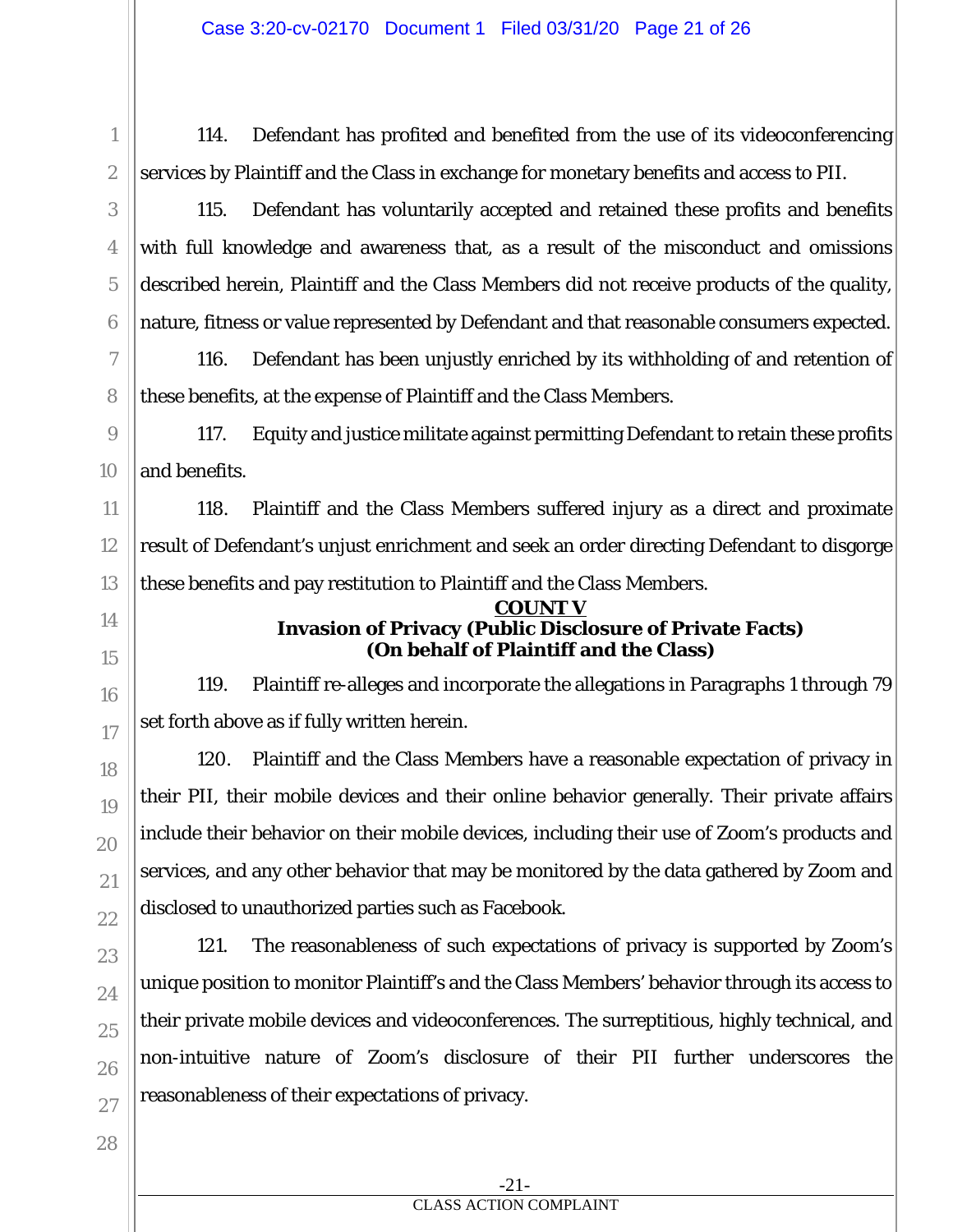114. Defendant has profited and benefited from the use of its videoconferencing services by Plaintiff and the Class in exchange for monetary benefits and access to PII.

115. Defendant has voluntarily accepted and retained these profits and benefits with full knowledge and awareness that, as a result of the misconduct and omissions described herein, Plaintiff and the Class Members did not receive products of the quality, nature, fitness or value represented by Defendant and that reasonable consumers expected.

116. Defendant has been unjustly enriched by its withholding of and retention of these benefits, at the expense of Plaintiff and the Class Members.

117. Equity and justice militate against permitting Defendant to retain these profits and benefits.

118. Plaintiff and the Class Members suffered injury as a direct and proximate result of Defendant's unjust enrichment and seek an order directing Defendant to disgorge these benefits and pay restitution to Plaintiff and the Class Members.

#### **COUNT V Invasion of Privacy (Public Disclosure of Private Facts) (On behalf of Plaintiff and the Class)**

119. Plaintiff re-alleges and incorporate the allegations in Paragraphs 1 through 79 set forth above as if fully written herein.

120. Plaintiff and the Class Members have a reasonable expectation of privacy in their PII, their mobile devices and their online behavior generally. Their private affairs include their behavior on their mobile devices, including their use of Zoom's products and services, and any other behavior that may be monitored by the data gathered by Zoom and disclosed to unauthorized parties such as Facebook.

1

2

3

4

5

6

7

8

9

10

11

12

13

14

15

16

17

18

19

20

21

121. The reasonableness of such expectations of privacy is supported by Zoom's unique position to monitor Plaintiff's and the Class Members' behavior through its access to their private mobile devices and videoconferences. The surreptitious, highly technical, and non-intuitive nature of Zoom's disclosure of their PII further underscores the reasonableness of their expectations of privacy.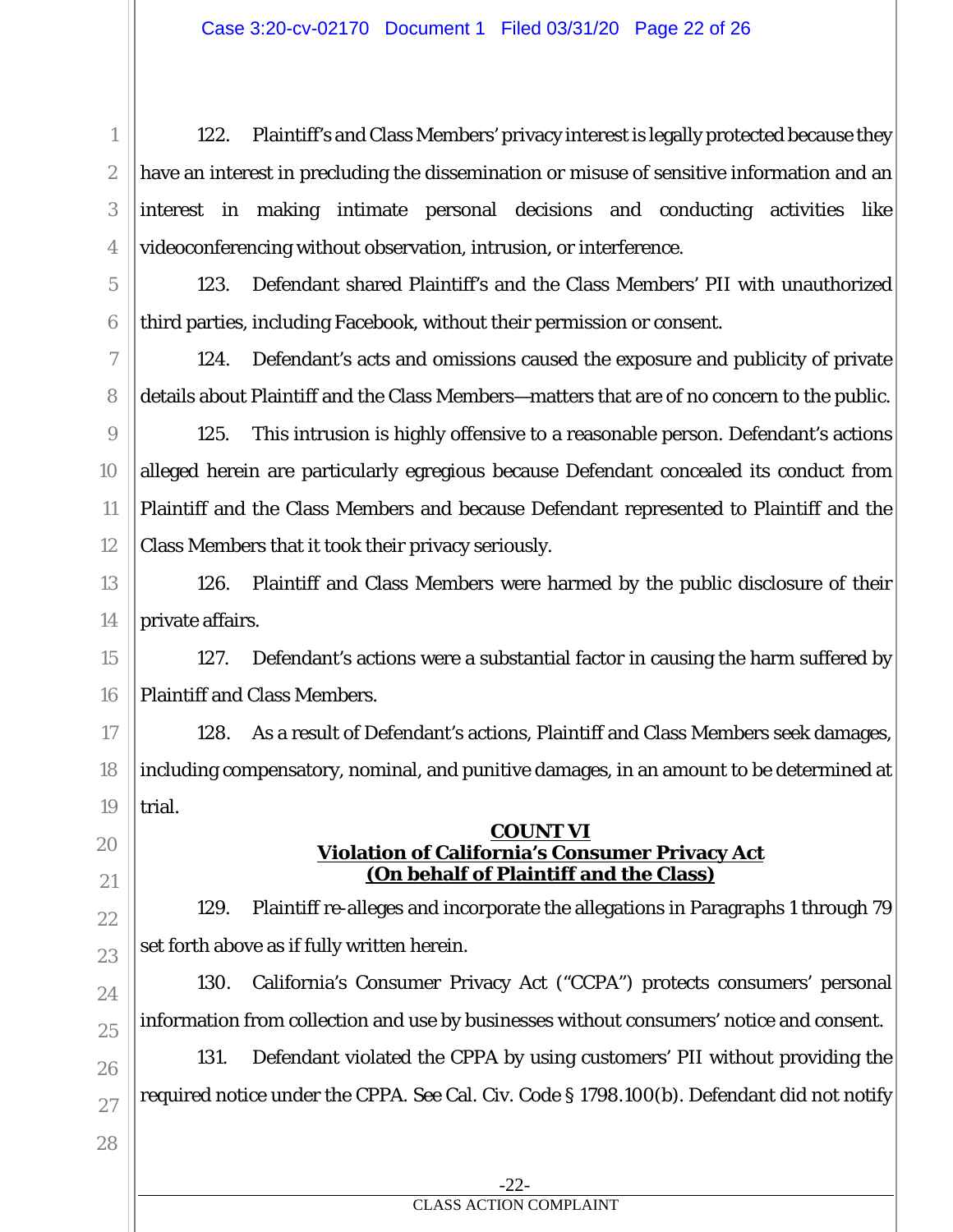122. Plaintiff's and Class Members' privacy interest is legally protected because they have an interest in precluding the dissemination or misuse of sensitive information and an interest in making intimate personal decisions and conducting activities like videoconferencing without observation, intrusion, or interference.

123. Defendant shared Plaintiff's and the Class Members' PII with unauthorized third parties, including Facebook, without their permission or consent.

124. Defendant's acts and omissions caused the exposure and publicity of private details about Plaintiff and the Class Members—matters that are of no concern to the public.

125. This intrusion is highly offensive to a reasonable person. Defendant's actions alleged herein are particularly egregious because Defendant concealed its conduct from Plaintiff and the Class Members and because Defendant represented to Plaintiff and the Class Members that it took their privacy seriously.

126. Plaintiff and Class Members were harmed by the public disclosure of their private affairs.

15 16 127. Defendant's actions were a substantial factor in causing the harm suffered by Plaintiff and Class Members.

17 18 19 128. As a result of Defendant's actions, Plaintiff and Class Members seek damages, including compensatory, nominal, and punitive damages, in an amount to be determined at trial.

#### **COUNT VI Violation of California's Consumer Privacy Act (On behalf of Plaintiff and the Class)**

129. Plaintiff re-alleges and incorporate the allegations in Paragraphs 1 through 79 set forth above as if fully written herein.

130. California's Consumer Privacy Act ("CCPA") protects consumers' personal information from collection and use by businesses without consumers' notice and consent.

131. Defendant violated the CPPA by using customers' PII without providing the required notice under the CPPA. *See* Cal. Civ. Code § 1798.100(b). Defendant did not notify

1

2

3

4

5

6

7

8

9

10

11

12

13

14

20

21

22

23

24

25

26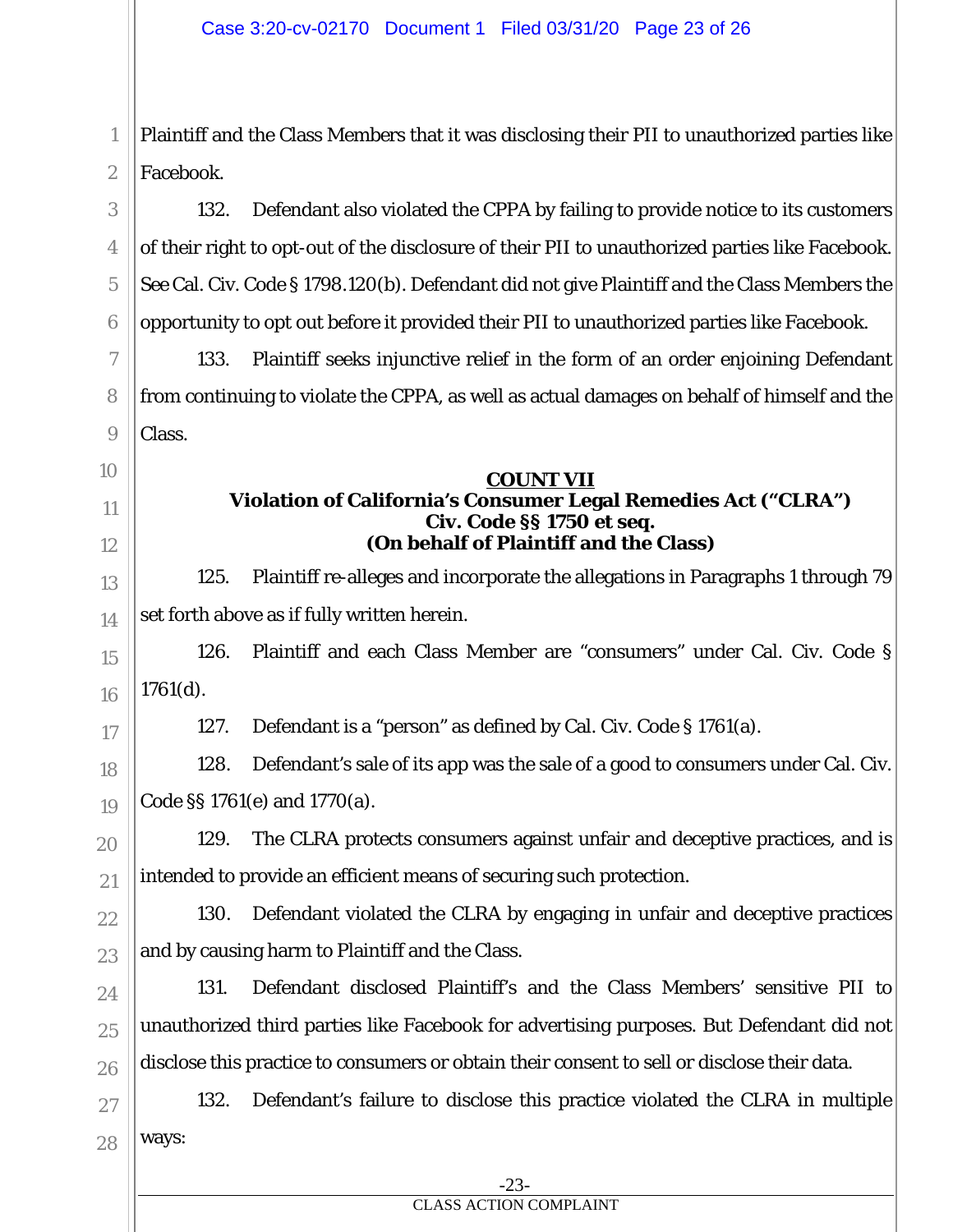Plaintiff and the Class Members that it was disclosing their PII to unauthorized parties like Facebook.

132. Defendant also violated the CPPA by failing to provide notice to its customers of their right to opt-out of the disclosure of their PII to unauthorized parties like Facebook. *See* Cal. Civ. Code § 1798.120(b). Defendant did not give Plaintiff and the Class Members the opportunity to opt out before it provided their PII to unauthorized parties like Facebook.

133. Plaintiff seeks injunctive relief in the form of an order enjoining Defendant from continuing to violate the CPPA, as well as actual damages on behalf of himself and the Class.

#### **COUNT VII**

## **Violation of California's Consumer Legal Remedies Act ("CLRA") Civ. Code §§ 1750** *et seq.* **(On behalf of Plaintiff and the Class)**

125. Plaintiff re-alleges and incorporate the allegations in Paragraphs 1 through 79 set forth above as if fully written herein.

126. Plaintiff and each Class Member are "consumers" under Cal. Civ. Code § 1761(d).

1

2

3

4

5

6

7

8

9

10

11

12

13

14

15

16

17

18

19

20

21

22

23

24

25

26

127. Defendant is a "person" as defined by Cal. Civ. Code § 1761(a).

128. Defendant's sale of its app was the sale of a good to consumers under Cal. Civ. Code §§ 1761(e) and 1770(a).

129. The CLRA protects consumers against unfair and deceptive practices, and is intended to provide an efficient means of securing such protection.

130. Defendant violated the CLRA by engaging in unfair and deceptive practices and by causing harm to Plaintiff and the Class.

131. Defendant disclosed Plaintiff's and the Class Members' sensitive PII to unauthorized third parties like Facebook for advertising purposes. But Defendant did not disclose this practice to consumers or obtain their consent to sell or disclose their data.

27 28 132. Defendant's failure to disclose this practice violated the CLRA in multiple ways:

#### CLASS ACTION COMPLAINT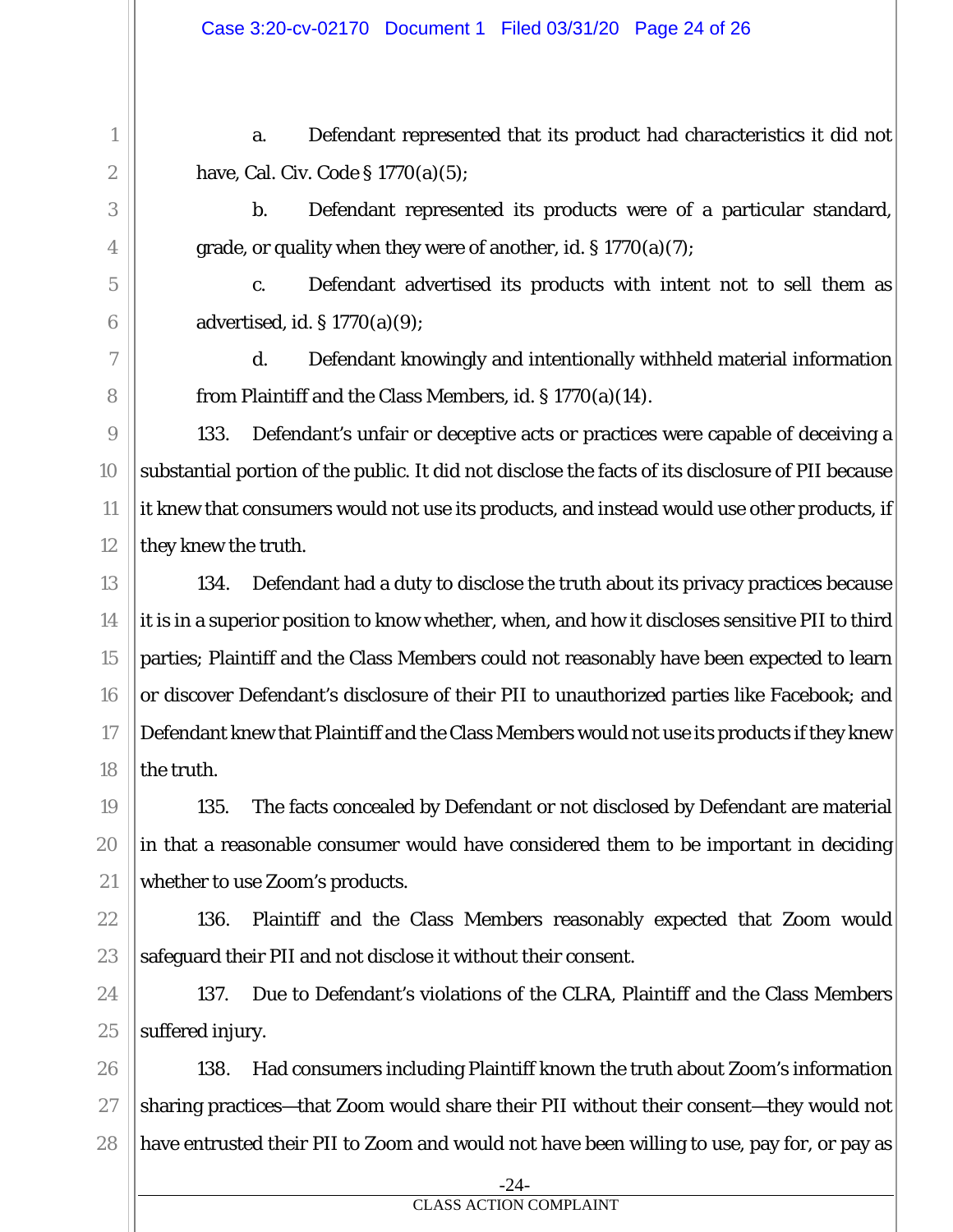a. Defendant represented that its product had characteristics it did not have, Cal. Civ. Code § 1770(a)(5);

b. Defendant represented its products were of a particular standard, grade, or quality when they were of another, *id.* § 1770(a)(7);

c. Defendant advertised its products with intent not to sell them as advertised, *id.* § 1770(a)(9);

d. Defendant knowingly and intentionally withheld material information from Plaintiff and the Class Members, *id.* § 1770(a)(14).

133. Defendant's unfair or deceptive acts or practices were capable of deceiving a substantial portion of the public. It did not disclose the facts of its disclosure of PII because it knew that consumers would not use its products, and instead would use other products, if they knew the truth.

134. Defendant had a duty to disclose the truth about its privacy practices because it is in a superior position to know whether, when, and how it discloses sensitive PII to third parties; Plaintiff and the Class Members could not reasonably have been expected to learn or discover Defendant's disclosure of their PII to unauthorized parties like Facebook; and Defendant knew that Plaintiff and the Class Members would not use its products if they knew the truth.

135. The facts concealed by Defendant or not disclosed by Defendant are material in that a reasonable consumer would have considered them to be important in deciding whether to use Zoom's products.

136. Plaintiff and the Class Members reasonably expected that Zoom would safeguard their PII and not disclose it without their consent.

137. Due to Defendant's violations of the CLRA, Plaintiff and the Class Members suffered injury.

138. Had consumers including Plaintiff known the truth about Zoom's information sharing practices—that Zoom would share their PII without their consent—they would not have entrusted their PII to Zoom and would not have been willing to use, pay for, or pay as

> -24- CLASS ACTION COMPLAINT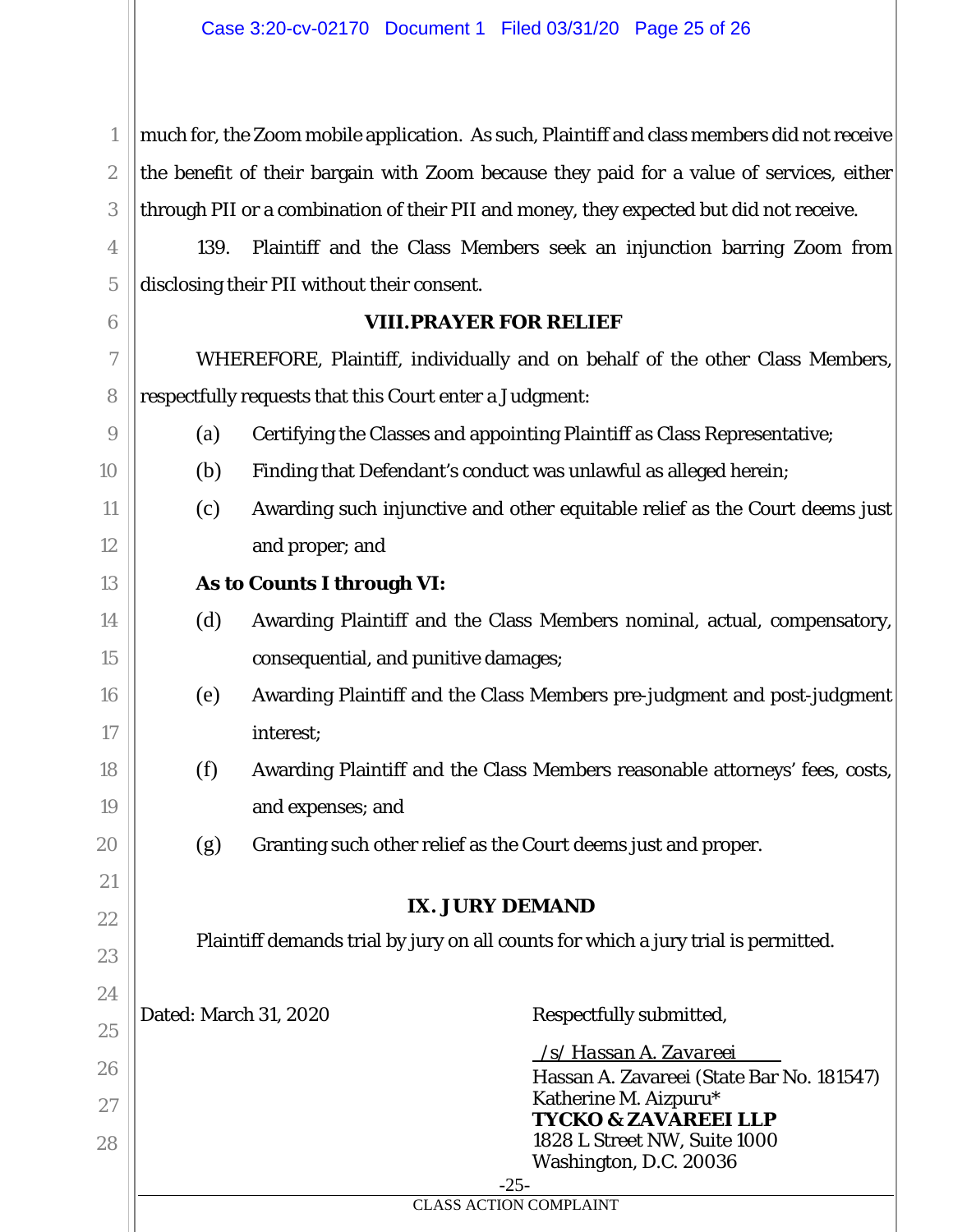much for, the Zoom mobile application. As such, Plaintiff and class members did not receive the benefit of their bargain with Zoom because they paid for a value of services, either through PII or a combination of their PII and money, they expected but did not receive.

139. Plaintiff and the Class Members seek an injunction barring Zoom from disclosing their PII without their consent.

#### **VIII.PRAYER FOR RELIEF**

 WHEREFORE, Plaintiff, individually and on behalf of the other Class Members, respectfully requests that this Court enter a Judgment:

- (a) Certifying the Classes and appointing Plaintiff as Class Representative;
- (b) Finding that Defendant's conduct was unlawful as alleged herein;
- (c) Awarding such injunctive and other equitable relief as the Court deems just and proper; and

## **As to Counts I through VI:**

1

2

3

4

5

6

7

8

9

10

11

12

13

14

15

16

17

18

19

20

21

22

23

24

25

26

27

28

- (d) Awarding Plaintiff and the Class Members nominal, actual, compensatory, consequential, and punitive damages;
- (e) Awarding Plaintiff and the Class Members pre-judgment and post-judgment interest;
- (f) Awarding Plaintiff and the Class Members reasonable attorneys' fees, costs, and expenses; and
	- $(g)$  Granting such other relief as the Court deems just and proper.

## **IX. JURY DEMAND**

Plaintiff demands trial by jury on all counts for which a jury trial is permitted.

Dated: March 31, 2020 Respectfully submitted,

| /s/ Hassan A. Zavareei                    |
|-------------------------------------------|
| Hassan A. Zavareei (State Bar No. 181547) |
| Katherine M. Aizpuru*                     |
| <b>TYCKO &amp; ZAVAREEI LLP</b>           |
| 1828 L Street NW, Suite 1000              |
| Washington, D.C. 20036                    |
| $-25-$                                    |
| LASS ACTION COMPLAINT:                    |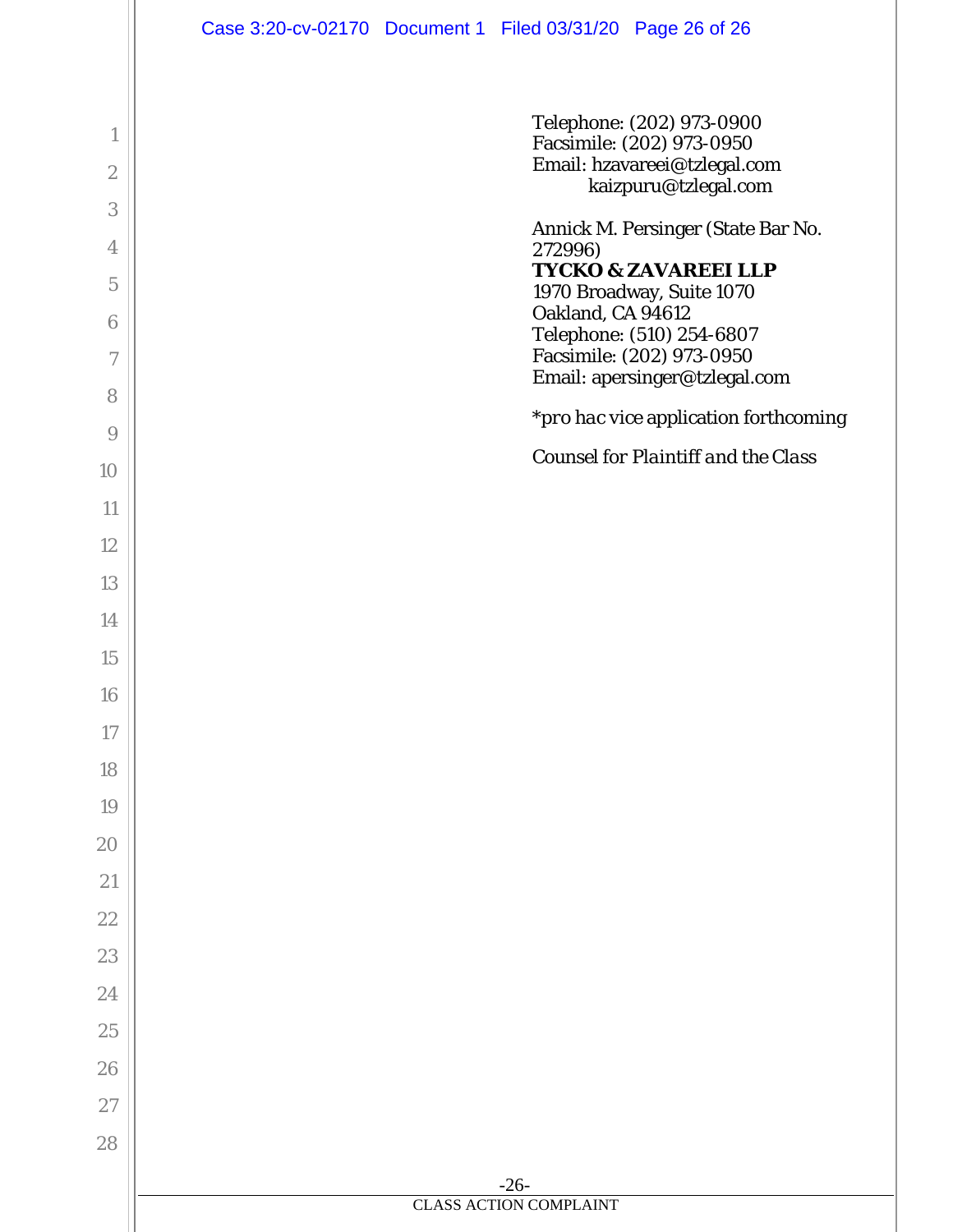|                 | Case 3:20-cv-02170 Document 1 Filed 03/31/20 Page 26 of 26   |
|-----------------|--------------------------------------------------------------|
|                 |                                                              |
| $\mathbf{1}$    | Telephone: (202) 973-0900                                    |
| $\mathbf{2}$    | Facsimile: (202) 973-0950<br>Email: hzavareei@tzlegal.com    |
| 3               | kaizpuru@tzlegal.com                                         |
| 4               | Annick M. Persinger (State Bar No.<br>272996)                |
| $\mathbf 5$     | <b>TYCKO &amp; ZAVAREEI LLP</b><br>1970 Broadway, Suite 1070 |
| $6\phantom{1}6$ | Oakland, CA 94612                                            |
| 7               | Telephone: (510) 254-6807<br>Facsimile: (202) 973-0950       |
| 8               | Email: apersinger@tzlegal.com                                |
| 9               | <i>*pro hac vice</i> application forthcoming                 |
| 10              | <b>Counsel for Plaintiff and the Class</b>                   |
| 11              |                                                              |
| 12              |                                                              |
| 13              |                                                              |
| 14              |                                                              |
| 15              |                                                              |
| 16              |                                                              |
| 17              |                                                              |
| 18              |                                                              |
| 19              |                                                              |
| 20              |                                                              |
| $21\,$          |                                                              |
| 22              |                                                              |
| 23              |                                                              |
| 24              |                                                              |
| 25              |                                                              |
| 26              |                                                              |
| $27\,$          |                                                              |
| 28              |                                                              |
|                 | $-26-$<br><b>CLASS ACTION COMPLAINT</b>                      |
|                 |                                                              |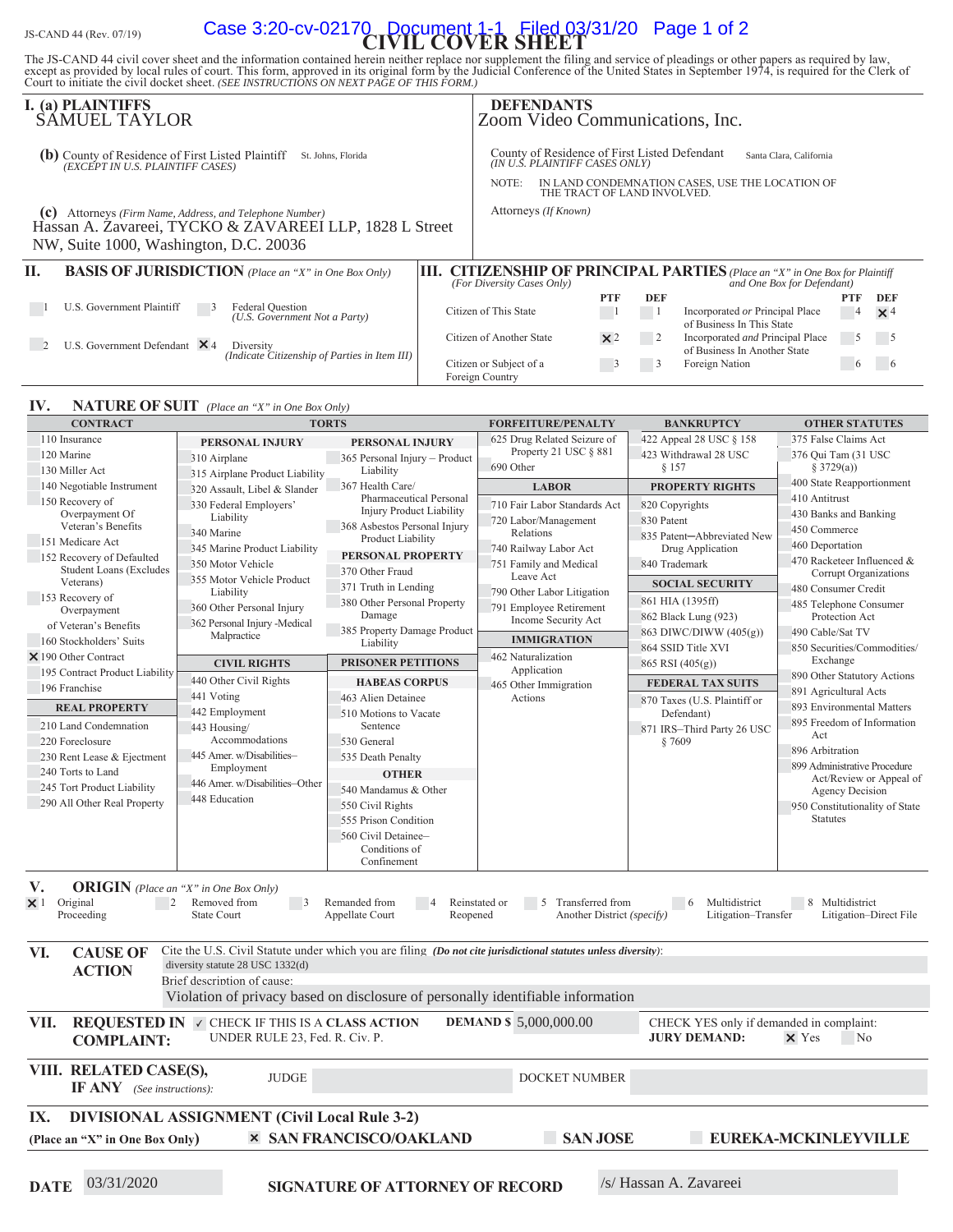# JS-CAND 44 (Rev. 07/19) **Case 3:20-cv-02170 Document 1-1 Filed 03/31/20 Page 1 of 2**

The JS-CAND 44 civil cover sheet and the information contained herein neither replace nor supplement the filing and service of pleadings or other papers as required by law, except as provided by local rules of court. This

|                                                                                                                | I. (a) PLAINTIFFS<br>SAMUEL TAYLOR                                                                                                                        |  | <b>DEFENDANTS</b>                                                                                                                                                                                     |  |            |                            | Zoom Video Communications, Inc.                                                                                   |                  |                   |  |
|----------------------------------------------------------------------------------------------------------------|-----------------------------------------------------------------------------------------------------------------------------------------------------------|--|-------------------------------------------------------------------------------------------------------------------------------------------------------------------------------------------------------|--|------------|----------------------------|-------------------------------------------------------------------------------------------------------------------|------------------|-------------------|--|
| County of Residence of First Listed Plaintiff<br>(b)<br>St. Johns, Florida<br>(EXCEPT IN U.S. PLAINTIFF CASES) |                                                                                                                                                           |  | County of Residence of First Listed Defendant<br>Santa Clara, California<br>(IN U.Š. PLAINTIFF CASES ONLY)<br>IN LAND CONDEMNATION CASES, USE THE LOCATION OF<br>NOTE:<br>THE TRACT OF LAND INVOLVED. |  |            |                            |                                                                                                                   |                  |                   |  |
| (c)                                                                                                            | Attorneys (Firm Name, Address, and Telephone Number)<br>Hassan A. Zavareei, TYCKO & ZAVAREEI LLP, 1828 L Street<br>NW, Suite 1000, Washington, D.C. 20036 |  | Attorneys (If Known)                                                                                                                                                                                  |  |            |                            |                                                                                                                   |                  |                   |  |
| H.                                                                                                             | <b>BASIS OF JURISDICTION</b> (Place an "X" in One Box Only)                                                                                               |  | (For Diversity Cases Only)                                                                                                                                                                            |  |            |                            | <b>III. CITIZENSHIP OF PRINCIPAL PARTIES</b> (Place an "X" in One Box for Plaintiff<br>and One Box for Defendant) |                  |                   |  |
|                                                                                                                | U.S. Government Plaintiff<br>Federal Question<br>-5<br>(U.S. Government Not a Party)                                                                      |  | Citizen of This State                                                                                                                                                                                 |  | <b>PTF</b> | DEF                        | Incorporated or Principal Place<br>of Business In This State                                                      | <b>PTF</b><br>-4 | DEF<br>$\times$ 4 |  |
|                                                                                                                | U.S. Government Defendant $\times$ 4<br>Diversity<br>(Indicate Citizenship of Parties in Item III)                                                        |  | Citizen of Another State                                                                                                                                                                              |  | $\times 2$ |                            | Incorporated and Principal Place<br>of Business In Another State                                                  | 5                | $5\overline{)}$   |  |
|                                                                                                                |                                                                                                                                                           |  | Citizen or Subject of a<br>Foreign Country                                                                                                                                                            |  |            | $\overline{\phantom{0}}$ 3 | Foreign Nation                                                                                                    | $\sigma$         |                   |  |

#### **IV. NATURE OF SUIT** (Place an "X" in One Box Only)

| <b>CONTRACT</b>                                              |                                                                                                                | <b>TORTS</b>                                      | <b>FORFEITURE/PENALTY</b>           | <b>BANKRUPTCY</b>                        | <b>OTHER STATUTES</b>                             |  |  |
|--------------------------------------------------------------|----------------------------------------------------------------------------------------------------------------|---------------------------------------------------|-------------------------------------|------------------------------------------|---------------------------------------------------|--|--|
| 110 Insurance                                                | PERSONAL INJURY                                                                                                | PERSONAL INJURY                                   | 625 Drug Related Seizure of         | 422 Appeal 28 USC § 158                  | 375 False Claims Act                              |  |  |
| 120 Marine                                                   | 310 Airplane                                                                                                   | 365 Personal Injury - Product                     | Property 21 USC § 881               | 423 Withdrawal 28 USC                    | 376 Qui Tam (31 USC                               |  |  |
| 130 Miller Act                                               | 315 Airplane Product Liability                                                                                 | Liability                                         | 690 Other                           | § 157                                    | § 3729(a))                                        |  |  |
| 140 Negotiable Instrument                                    | 320 Assault, Libel & Slander                                                                                   | 367 Health Care/                                  | <b>LABOR</b>                        | <b>PROPERTY RIGHTS</b>                   | 400 State Reapportionment                         |  |  |
| 150 Recovery of                                              | 330 Federal Employers'                                                                                         | Pharmaceutical Personal                           | 710 Fair Labor Standards Act        | 820 Copyrights                           | 410 Antitrust                                     |  |  |
| Overpayment Of                                               | Liability                                                                                                      | <b>Injury Product Liability</b>                   | 720 Labor/Management                | 830 Patent                               | 430 Banks and Banking                             |  |  |
| Veteran's Benefits                                           | 340 Marine                                                                                                     | 368 Asbestos Personal Injury<br>Product Liability | Relations                           | 835 Patent-Abbreviated New               | 450 Commerce                                      |  |  |
| 151 Medicare Act                                             | 345 Marine Product Liability                                                                                   | PERSONAL PROPERTY                                 | 740 Railway Labor Act               | Drug Application                         | 460 Deportation                                   |  |  |
| 152 Recovery of Defaulted<br><b>Student Loans (Excludes)</b> | 350 Motor Vehicle                                                                                              |                                                   | 751 Family and Medical              | 840 Trademark                            | 470 Racketeer Influenced &                        |  |  |
| Veterans)                                                    | 355 Motor Vehicle Product                                                                                      | 370 Other Fraud                                   | Leave Act                           | <b>SOCIAL SECURITY</b>                   | Corrupt Organizations                             |  |  |
| 153 Recovery of                                              | Liability                                                                                                      | 371 Truth in Lending                              | 790 Other Labor Litigation          | 861 HIA (1395ff)                         | 480 Consumer Credit                               |  |  |
| Overpayment                                                  | 360 Other Personal Injury                                                                                      | 380 Other Personal Property<br>Damage             | 791 Employee Retirement             | 862 Black Lung (923)                     | 485 Telephone Consumer<br>Protection Act          |  |  |
| of Veteran's Benefits                                        | 362 Personal Injury -Medical                                                                                   | 385 Property Damage Product                       | Income Security Act                 | 863 DIWC/DIWW $(405(g))$                 | 490 Cable/Sat TV                                  |  |  |
| 160 Stockholders' Suits                                      | Malpractice                                                                                                    | Liability                                         | <b>IMMIGRATION</b>                  | 864 SSID Title XVI                       | 850 Securities/Commodities/                       |  |  |
| $\times$ 190 Other Contract                                  | <b>CIVIL RIGHTS</b>                                                                                            | <b>PRISONER PETITIONS</b>                         | 462 Naturalization                  | 865 RSI (405(g))                         | Exchange                                          |  |  |
| 195 Contract Product Liability                               |                                                                                                                |                                                   | Application                         |                                          | 890 Other Statutory Actions                       |  |  |
| 196 Franchise                                                | 440 Other Civil Rights                                                                                         | <b>HABEAS CORPUS</b>                              | 465 Other Immigration               | <b>FEDERAL TAX SUITS</b>                 | 891 Agricultural Acts                             |  |  |
| <b>REAL PROPERTY</b>                                         | 441 Voting                                                                                                     | 463 Alien Detainee                                | Actions                             | 870 Taxes (U.S. Plaintiff or             | 893 Environmental Matters                         |  |  |
| 210 Land Condemnation                                        | 442 Employment                                                                                                 | 510 Motions to Vacate<br>Sentence                 |                                     | Defendant)                               | 895 Freedom of Information                        |  |  |
| 220 Foreclosure                                              | 443 Housing/<br>Accommodations                                                                                 | 530 General                                       |                                     | 871 IRS-Third Party 26 USC<br>§7609      | Act                                               |  |  |
| 230 Rent Lease & Ejectment                                   | 445 Amer. w/Disabilities-                                                                                      | 535 Death Penalty                                 |                                     |                                          | 896 Arbitration                                   |  |  |
| 240 Torts to Land                                            | Employment                                                                                                     |                                                   |                                     |                                          | 899 Administrative Procedure                      |  |  |
| 245 Tort Product Liability                                   | 446 Amer. w/Disabilities-Other                                                                                 | <b>OTHER</b>                                      |                                     |                                          | Act/Review or Appeal of                           |  |  |
| 290 All Other Real Property                                  | 448 Education                                                                                                  | 540 Mandamus & Other                              |                                     |                                          | Agency Decision                                   |  |  |
|                                                              |                                                                                                                | 550 Civil Rights                                  |                                     |                                          | 950 Constitutionality of State<br><b>Statutes</b> |  |  |
|                                                              |                                                                                                                | 555 Prison Condition<br>560 Civil Detainee-       |                                     |                                          |                                                   |  |  |
|                                                              |                                                                                                                | Conditions of                                     |                                     |                                          |                                                   |  |  |
|                                                              |                                                                                                                | Confinement                                       |                                     |                                          |                                                   |  |  |
|                                                              |                                                                                                                |                                                   |                                     |                                          |                                                   |  |  |
| V.                                                           | <b>ORIGIN</b> (Place an "X" in One Box Only)                                                                   |                                                   |                                     |                                          |                                                   |  |  |
| Original<br>$\times$ 1                                       | Removed from<br>2<br>$\overline{\phantom{a}}$                                                                  | Remanded from<br>$\overline{4}$                   | Reinstated or<br>5 Transferred from | $6\phantom{0}6$<br>Multidistrict         | 8 Multidistrict                                   |  |  |
| Proceeding                                                   | <b>State Court</b>                                                                                             | Appellate Court<br>Reopened                       | Another District (specify)          | Litigation-Transfer                      | Litigation-Direct File                            |  |  |
|                                                              |                                                                                                                |                                                   |                                     |                                          |                                                   |  |  |
| VI.<br><b>CAUSE OF</b>                                       | Cite the U.S. Civil Statute under which you are filing (Do not cite jurisdictional statutes unless diversity): |                                                   |                                     |                                          |                                                   |  |  |
| <b>ACTION</b>                                                | diversity statute 28 USC 1332(d)                                                                               |                                                   |                                     |                                          |                                                   |  |  |
|                                                              | Brief description of cause:                                                                                    |                                                   |                                     |                                          |                                                   |  |  |
|                                                              | Violation of privacy based on disclosure of personally identifiable information                                |                                                   |                                     |                                          |                                                   |  |  |
| VII.                                                         | <b>REQUESTED IN V CHECK IF THIS IS A CLASS ACTION</b>                                                          |                                                   | <b>DEMAND \$5,000,000.00</b>        | CHECK YES only if demanded in complaint: |                                                   |  |  |
| <b>COMPLAINT:</b>                                            | UNDER RULE 23, Fed. R. Civ. P.                                                                                 |                                                   |                                     | <b>JURY DEMAND:</b>                      | $\times$ Yes<br>N <sub>0</sub>                    |  |  |
|                                                              |                                                                                                                |                                                   |                                     |                                          |                                                   |  |  |
| VIII. RELATED CASE(S),                                       |                                                                                                                |                                                   |                                     |                                          |                                                   |  |  |
| <b>IF ANY</b> (See instructions):                            | <b>JUDGE</b>                                                                                                   |                                                   | <b>DOCKET NUMBER</b>                |                                          |                                                   |  |  |
|                                                              |                                                                                                                |                                                   |                                     |                                          |                                                   |  |  |
| <b>DIVISIONAL ASSIGNMENT (Civil Local Rule 3-2)</b><br>IX.   |                                                                                                                |                                                   |                                     |                                          |                                                   |  |  |
| (Place an "X" in One Box Only)                               |                                                                                                                | <b>× SAN FRANCISCO/OAKLAND</b>                    | <b>SAN JOSE</b>                     |                                          | EUREKA-MCKINLEYVILLE                              |  |  |
|                                                              |                                                                                                                |                                                   |                                     |                                          |                                                   |  |  |
|                                                              |                                                                                                                |                                                   |                                     |                                          |                                                   |  |  |

**DATE** 03/31/2020 **SIGNATURE OF ATTORNEY OF RECORD** /s/ Hassan A. Zavareei